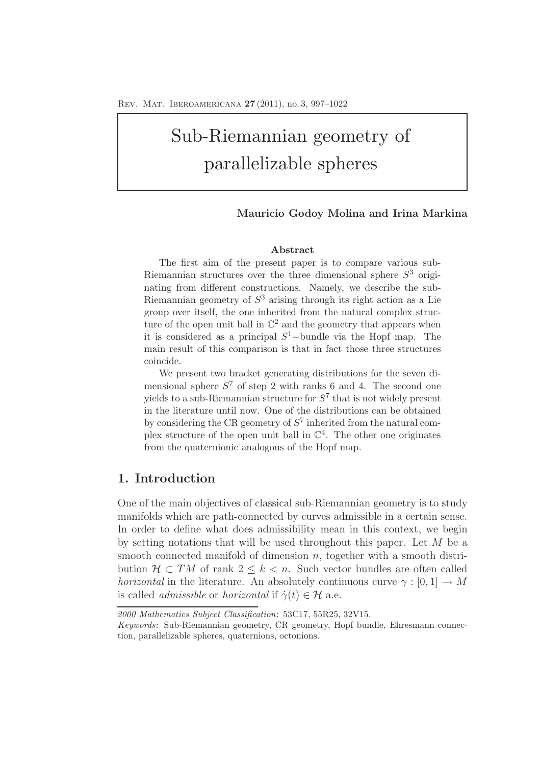# Sub-Riemannian geometry of parallelizable spheres

### **Mauricio Godoy Molina and Irina Markina**

### **Abstract**

The first aim of the present paper is to compare various sub-Riemannian structures over the three dimensional sphere  $S<sup>3</sup>$  originating from different constructions. Namely, we describe the sub-Riemannian geometry of  $S<sup>3</sup>$  arising through its right action as a Lie group over itself, the one inherited from the natural complex structure of the open unit ball in  $\mathbb{C}^2$  and the geometry that appears when it is considered as a principal  $S^1$ -bundle via the Hopf map. The main result of this comparison is that in fact those three structures coincide.

We present two bracket generating distributions for the seven dimensional sphere  $S^7$  of step 2 with ranks 6 and 4. The second one yields to a sub-Riemannian structure for  $S^7$  that is not widely present in the literature until now. One of the distributions can be obtained by considering the CR geometry of  $S^7$  inherited from the natural complex structure of the open unit ball in  $\mathbb{C}^{4}$ . The other one originates from the quaternionic analogous of the Hopf map.

### **1. Introduction**

One of the main objectives of classical sub-Riemannian geometry is to study manifolds which are path-connected by curves admissible in a certain sense. In order to define what does admissibility mean in this context, we begin by setting notations that will be used throughout this paper. Let M be a smooth connected manifold of dimension  $n$ , together with a smooth distribution  $H \subset TM$  of rank  $2 \leq k < n$ . Such vector bundles are often called *horizontal* in the literature. An absolutely continuous curve  $\gamma : [0, 1] \to M$ is called *admissible* or *horizontal* if  $\dot{\gamma}(t) \in \mathcal{H}$  a.e.

*<sup>2000</sup> Mathematics Subject Classification*: 53C17, 55R25, 32V15.

*Keywords*: Sub-Riemannian geometry, CR geometry, Hopf bundle, Ehresmann connection, parallelizable spheres, quaternions, octonions.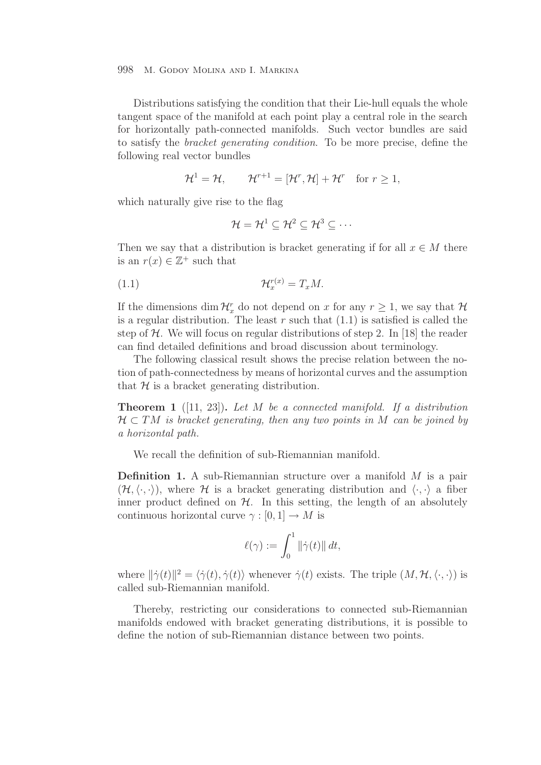Distributions satisfying the condition that their Lie-hull equals the whole tangent space of the manifold at each point play a central role in the search for horizontally path-connected manifolds. Such vector bundles are said to satisfy the *bracket generating condition*. To be more precise, define the following real vector bundles

$$
\mathcal{H}^1 = \mathcal{H}, \qquad \mathcal{H}^{r+1} = [\mathcal{H}^r, \mathcal{H}] + \mathcal{H}^r \quad \text{for } r \ge 1,
$$

which naturally give rise to the flag

$$
\mathcal{H}=\mathcal{H}^1\subseteq\mathcal{H}^2\subseteq\mathcal{H}^3\subseteq\cdots
$$

Then we say that a distribution is bracket generating if for all  $x \in M$  there is an  $r(x) \in \mathbb{Z}^+$  such that

$$
(1.1) \t\t\t \mathcal{H}_x^{r(x)} = T_x M.
$$

If the dimensions dim  $\mathcal{H}_x^r$  do not depend on x for any  $r \geq 1$ , we say that  $\mathcal{H}_x^r$ is a regular distribution. The least  $r$  such that  $(1.1)$  is satisfied is called the step of  $H$ . We will focus on regular distributions of step 2. In [18] the reader can find detailed definitions and broad discussion about terminology.

The following classical result shows the precise relation between the notion of path-connectedness by means of horizontal curves and the assumption that  $H$  is a bracket generating distribution.

**Theorem 1** ([11, 23])**.** *Let* M *be a connected manifold. If a distribution* H ⊂ TM *is bracket generating, then any two points in* M *can be joined by a horizontal path.*

We recall the definition of sub-Riemannian manifold.

**Definition 1.** A sub-Riemannian structure over a manifold M is a pair  $(\mathcal{H}, \langle \cdot, \cdot \rangle)$ , where  $\mathcal H$  is a bracket generating distribution and  $\langle \cdot, \cdot \rangle$  a fiber inner product defined on  $H$ . In this setting, the length of an absolutely continuous horizontal curve  $\gamma : [0, 1] \to M$  is

$$
\ell(\gamma) := \int_0^1 \|\dot{\gamma}(t)\| \, dt,
$$

where  $\|\dot{\gamma}(t)\|^2 = \langle \dot{\gamma}(t), \dot{\gamma}(t) \rangle$  whenever  $\dot{\gamma}(t)$  exists. The triple  $(M, \mathcal{H}, \langle \cdot, \cdot \rangle)$  is called sub-Riemannian manifold.

Thereby, restricting our considerations to connected sub-Riemannian manifolds endowed with bracket generating distributions, it is possible to define the notion of sub-Riemannian distance between two points.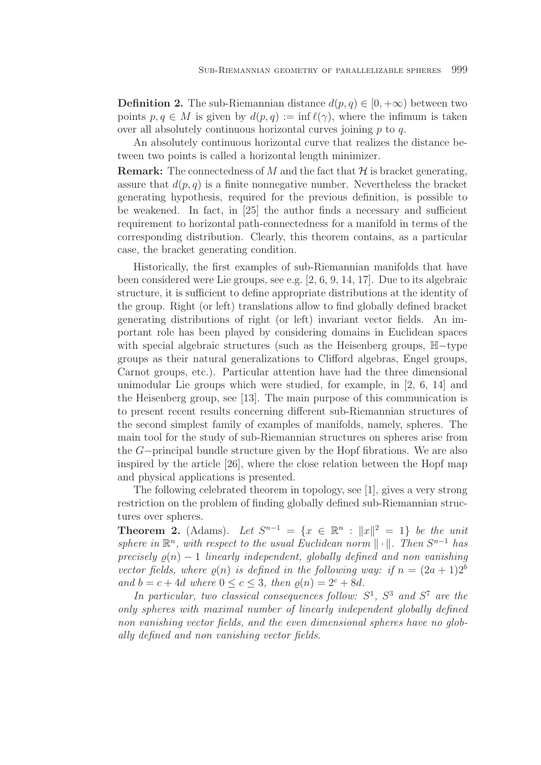**Definition 2.** The sub-Riemannian distance  $d(p, q) \in [0, +\infty)$  between two points  $p, q \in M$  is given by  $d(p, q) := \inf \ell(\gamma)$ , where the infimum is taken over all absolutely continuous horizontal curves joining p to q.

An absolutely continuous horizontal curve that realizes the distance between two points is called a horizontal length minimizer.

**Remark:** The connectedness of M and the fact that  $H$  is bracket generating, assure that  $d(p, q)$  is a finite nonnegative number. Nevertheless the bracket generating hypothesis, required for the previous definition, is possible to be weakened. In fact, in [25] the author finds a necessary and sufficient requirement to horizontal path-connectedness for a manifold in terms of the corresponding distribution. Clearly, this theorem contains, as a particular case, the bracket generating condition.

Historically, the first examples of sub-Riemannian manifolds that have been considered were Lie groups, see e.g. [2, 6, 9, 14, 17]. Due to its algebraic structure, it is sufficient to define appropriate distributions at the identity of the group. Right (or left) translations allow to find globally defined bracket generating distributions of right (or left) invariant vector fields. An important role has been played by considering domains in Euclidean spaces with special algebraic structures (such as the Heisenberg groups, H−type groups as their natural generalizations to Clifford algebras, Engel groups, Carnot groups, etc.). Particular attention have had the three dimensional unimodular Lie groups which were studied, for example, in [2, 6, 14] and the Heisenberg group, see [13]. The main purpose of this communication is to present recent results concerning different sub-Riemannian structures of the second simplest family of examples of manifolds, namely, spheres. The main tool for the study of sub-Riemannian structures on spheres arise from the G−principal bundle structure given by the Hopf fibrations. We are also inspired by the article [26], where the close relation between the Hopf map and physical applications is presented.

The following celebrated theorem in topology, see [1], gives a very strong restriction on the problem of finding globally defined sub-Riemannian structures over spheres.

**Theorem 2.** (Adams). Let  $S^{n-1} = \{x \in \mathbb{R}^n : ||x||^2 = 1\}$  be the unit *sphere in*  $\mathbb{R}^n$ *, with respect to the usual Euclidean norm*  $\|\cdot\|$ *. Then*  $S^{n-1}$  *has precisely*  $\rho(n) - 1$  *linearly independent, globally defined and non vanishing vector fields, where*  $\rho(n)$  *is defined in the following way: if*  $n = (2a + 1)2^b$ *and*  $b = c + 4d$  *where*  $0 \le c \le 3$ *, then*  $\rho(n) = 2^c + 8d$ *.* 

In particular, two classical consequences follow:  $S^1$ ,  $S^3$  and  $S^7$  are the *only spheres with maximal number of linearly independent globally defined non vanishing vector fields, and the even dimensional spheres have no globally defined and non vanishing vector fields.*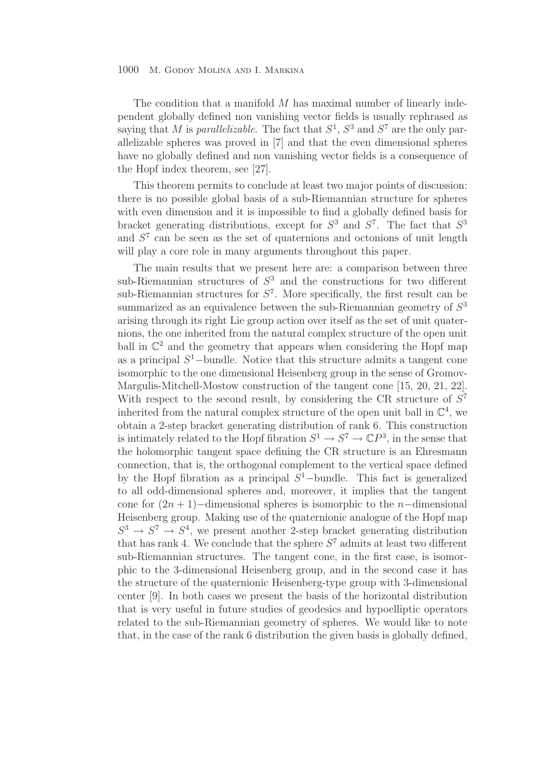The condition that a manifold  $M$  has maximal number of linearly independent globally defined non vanishing vector fields is usually rephrased as saying that M is *parallelizable*. The fact that  $S^1$ ,  $S^3$  and  $S^7$  are the only parallelizable spheres was proved in [7] and that the even dimensional spheres have no globally defined and non vanishing vector fields is a consequence of the Hopf index theorem, see [27].

This theorem permits to conclude at least two major points of discussion: there is no possible global basis of a sub-Riemannian structure for spheres with even dimension and it is impossible to find a globally defined basis for bracket generating distributions, except for  $S^3$  and  $S^7$ . The fact that  $S^3$ and  $S<sup>7</sup>$  can be seen as the set of quaternions and octonions of unit length will play a core role in many arguments throughout this paper.

The main results that we present here are: a comparison between three sub-Riemannian structures of  $S<sup>3</sup>$  and the constructions for two different sub-Riemannian structures for  $S^7$ . More specifically, the first result can be summarized as an equivalence between the sub-Riemannian geometry of  $S<sup>3</sup>$ arising through its right Lie group action over itself as the set of unit quaternions, the one inherited from the natural complex structure of the open unit ball in  $\mathbb{C}^2$  and the geometry that appears when considering the Hopf map as a principal  $S^1$ –bundle. Notice that this structure admits a tangent cone isomorphic to the one dimensional Heisenberg group in the sense of Gromov-Margulis-Mitchell-Mostow construction of the tangent cone [15, 20, 21, 22]. With respect to the second result, by considering the CR structure of  $S<sup>7</sup>$ inherited from the natural complex structure of the open unit ball in  $\mathbb{C}^4$ , we obtain a 2-step bracket generating distribution of rank 6. This construction is intimately related to the Hopf fibration  $S^1 \to S^7 \to \mathbb{C}P^3$ , in the sense that the holomorphic tangent space defining the CR structure is an Ehresmann connection, that is, the orthogonal complement to the vertical space defined by the Hopf fibration as a principal  $S^1$ -bundle. This fact is generalized to all odd-dimensional spheres and, moreover, it implies that the tangent cone for  $(2n + 1)$ −dimensional spheres is isomorphic to the n−dimensional Heisenberg group. Making use of the quaternionic analogue of the Hopf map  $S^3 \rightarrow S^7 \rightarrow S^4$ , we present another 2-step bracket generating distribution that has rank 4. We conclude that the sphere  $S<sup>7</sup>$  admits at least two different sub-Riemannian structures. The tangent cone, in the first case, is isomorphic to the 3-dimensional Heisenberg group, and in the second case it has the structure of the quaternionic Heisenberg-type group with 3-dimensional center [9]. In both cases we present the basis of the horizontal distribution that is very useful in future studies of geodesics and hypoelliptic operators related to the sub-Riemannian geometry of spheres. We would like to note that, in the case of the rank 6 distribution the given basis is globally defined,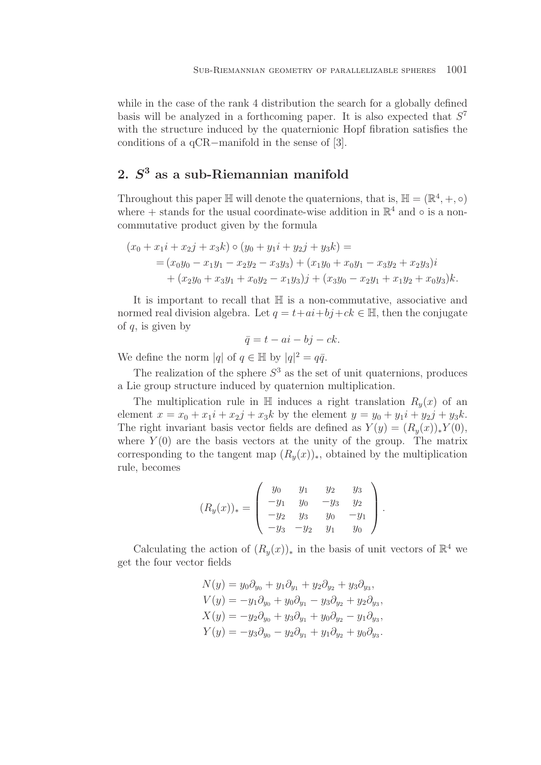while in the case of the rank 4 distribution the search for a globally defined basis will be analyzed in a forthcoming paper. It is also expected that  $S^7$ with the structure induced by the quaternionic Hopf fibration satisfies the conditions of a qCR−manifold in the sense of [3].

# **2.** *S***<sup>3</sup> as a sub-Riemannian manifold**

Throughout this paper  $\mathbb H$  will denote the quaternions, that is,  $\mathbb H = (\mathbb R^4, +, \circ)$ where + stands for the usual coordinate-wise addition in  $\mathbb{R}^4$  and  $\circ$  is a noncommutative product given by the formula

$$
(x_0 + x_1i + x_2j + x_3k) \circ (y_0 + y_1i + y_2j + y_3k) =
$$
  
=  $(x_0y_0 - x_1y_1 - x_2y_2 - x_3y_3) + (x_1y_0 + x_0y_1 - x_3y_2 + x_2y_3)i$   
+  $(x_2y_0 + x_3y_1 + x_0y_2 - x_1y_3)j + (x_3y_0 - x_2y_1 + x_1y_2 + x_0y_3)k.$ 

It is important to recall that H is a non-commutative, associative and normed real division algebra. Let  $q = t + ai + bj + ck \in \mathbb{H}$ , then the conjugate of  $q$ , is given by

$$
\bar{q} = t - ai - bj - ck.
$$

We define the norm  $|q|$  of  $q \in \mathbb{H}$  by  $|q|^2 = q\overline{q}$ .

The realization of the sphere  $S^3$  as the set of unit quaternions, produces a Lie group structure induced by quaternion multiplication.

The multiplication rule in  $\mathbb H$  induces a right translation  $R_y(x)$  of an element  $x = x_0 + x_1i + x_2j + x_3k$  by the element  $y = y_0 + y_1i + y_2j + y_3k$ . The right invariant basis vector fields are defined as  $Y(y)=(R_y(x))_*Y(0)$ , where  $Y(0)$  are the basis vectors at the unity of the group. The matrix corresponding to the tangent map  $(R_y(x))_*$ , obtained by the multiplication rule, becomes

$$
(R_y(x))_* = \begin{pmatrix} y_0 & y_1 & y_2 & y_3 \ -y_1 & y_0 & -y_3 & y_2 \ -y_2 & y_3 & y_0 & -y_1 \ -y_3 & -y_2 & y_1 & y_0 \end{pmatrix}.
$$

Calculating the action of  $(R_y(x))_*$  in the basis of unit vectors of  $\mathbb{R}^4$  we get the four vector fields

$$
N(y) = y_0 \partial_{y_0} + y_1 \partial_{y_1} + y_2 \partial_{y_2} + y_3 \partial_{y_3},
$$
  
\n
$$
V(y) = -y_1 \partial_{y_0} + y_0 \partial_{y_1} - y_3 \partial_{y_2} + y_2 \partial_{y_3},
$$
  
\n
$$
X(y) = -y_2 \partial_{y_0} + y_3 \partial_{y_1} + y_0 \partial_{y_2} - y_1 \partial_{y_3},
$$
  
\n
$$
Y(y) = -y_3 \partial_{y_0} - y_2 \partial_{y_1} + y_1 \partial_{y_2} + y_0 \partial_{y_3}.
$$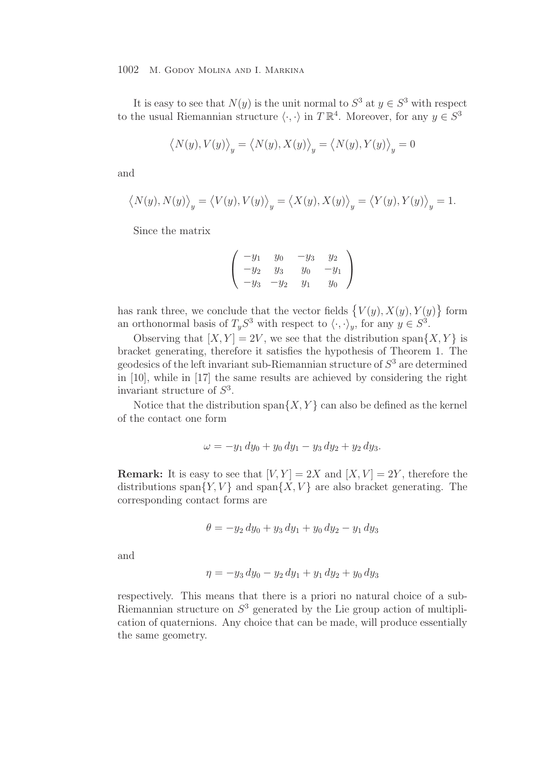It is easy to see that  $N(y)$  is the unit normal to  $S^3$  at  $y \in S^3$  with respect to the usual Riemannian structure  $\langle \cdot, \cdot \rangle$  in  $T \mathbb{R}^4$ . Moreover, for any  $y \in S^3$ 

$$
\langle N(y), V(y) \rangle_y = \langle N(y), X(y) \rangle_y = \langle N(y), Y(y) \rangle_y = 0
$$

and

$$
\left\langle N(y), N(y) \right\rangle_y = \left\langle V(y), V(y) \right\rangle_y = \left\langle X(y), X(y) \right\rangle_y = \left\langle Y(y), Y(y) \right\rangle_y = 1.
$$

Since the matrix

$$
\begin{pmatrix}\n-y_1 & y_0 & -y_3 & y_2 \\
-y_2 & y_3 & y_0 & -y_1 \\
-y_3 & -y_2 & y_1 & y_0\n\end{pmatrix}
$$

has rank three, we conclude that the vector fields  $\{V(y), X(y), Y(y)\}\)$  form an orthonormal basis of  $T_yS^3$  with respect to  $\langle \cdot, \cdot \rangle_y$ , for any  $y \in S^3$ .

Observing that  $[X, Y] = 2V$ , we see that the distribution span $\{X, Y\}$  is bracket generating, therefore it satisfies the hypothesis of Theorem 1. The geodesics of the left invariant sub-Riemannian structure of  $S<sup>3</sup>$  are determined in [10], while in [17] the same results are achieved by considering the right invariant structure of  $S<sup>3</sup>$ .

Notice that the distribution span $\{X, Y\}$  can also be defined as the kernel of the contact one form

$$
\omega = -y_1 \, dy_0 + y_0 \, dy_1 - y_3 \, dy_2 + y_2 \, dy_3.
$$

**Remark:** It is easy to see that  $[V, Y] = 2X$  and  $[X, V] = 2Y$ , therefore the distributions span $\{Y, V\}$  and span $\{X, V\}$  are also bracket generating. The corresponding contact forms are

$$
\theta = -y_2 \, dy_0 + y_3 \, dy_1 + y_0 \, dy_2 - y_1 \, dy_3
$$

and

$$
\eta = -y_3 \, dy_0 - y_2 \, dy_1 + y_1 \, dy_2 + y_0 \, dy_3
$$

respectively. This means that there is a priori no natural choice of a sub-Riemannian structure on  $S<sup>3</sup>$  generated by the Lie group action of multiplication of quaternions. Any choice that can be made, will produce essentially the same geometry.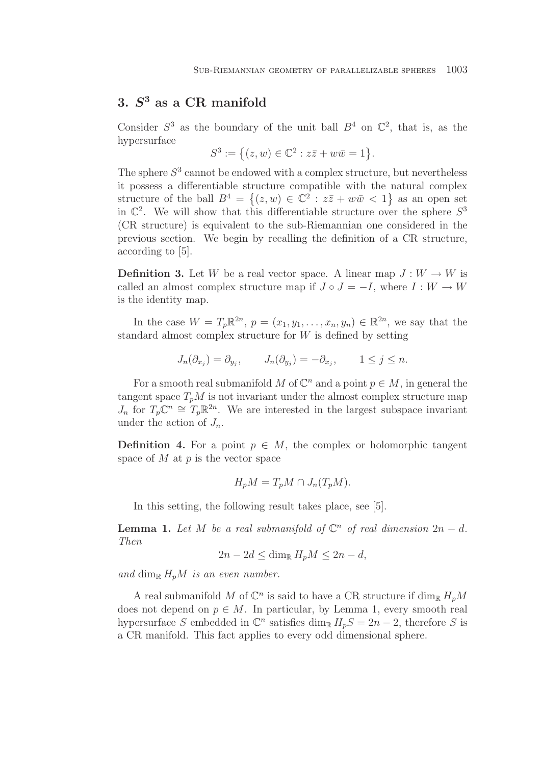# **3.** *S***<sup>3</sup> as a CR manifold**

Consider  $S^3$  as the boundary of the unit ball  $B^4$  on  $\mathbb{C}^2$ , that is, as the hypersurface

$$
S^3 := \{(z, w) \in \mathbb{C}^2 : z\overline{z} + w\overline{w} = 1\}.
$$

The sphere  $S<sup>3</sup>$  cannot be endowed with a complex structure, but nevertheless it possess a differentiable structure compatible with the natural complex structure of the ball  $B^4 = \{(z,w) \in \mathbb{C}^2 : z\overline{z} + w\overline{w} < 1\}$  as an open set in  $\mathbb{C}^2$ . We will show that this differentiable structure over the sphere  $S^3$ (CR structure) is equivalent to the sub-Riemannian one considered in the previous section. We begin by recalling the definition of a CR structure, according to [5].

**Definition 3.** Let W be a real vector space. A linear map  $J: W \to W$  is called an almost complex structure map if  $J \circ J = -I$ , where  $I : W \to W$ is the identity map.

In the case  $W = T_p \mathbb{R}^{2n}$ ,  $p = (x_1, y_1, \ldots, x_n, y_n) \in \mathbb{R}^{2n}$ , we say that the standard almost complex structure for  $W$  is defined by setting

$$
J_n(\partial_{x_j}) = \partial_{y_j}, \qquad J_n(\partial_{y_j}) = -\partial_{x_j}, \qquad 1 \le j \le n.
$$

For a smooth real submanifold M of  $\mathbb{C}^n$  and a point  $p \in M$ , in general the tangent space  $T_pM$  is not invariant under the almost complex structure map  $J_n$  for  $T_p\mathbb{C}^n \cong T_p\mathbb{R}^{2n}$ . We are interested in the largest subspace invariant under the action of  $J_n$ .

**Definition 4.** For a point  $p \in M$ , the complex or holomorphic tangent space of  $M$  at  $p$  is the vector space

$$
H_p M = T_p M \cap J_n(T_p M).
$$

In this setting, the following result takes place, see [5].

**Lemma 1.** Let M be a real submanifold of  $\mathbb{C}^n$  of real dimension  $2n - d$ . *Then*

$$
2n - 2d \le \dim_{\mathbb{R}} H_p M \le 2n - d,
$$

and dim<sub>R</sub>  $H_pM$  *is an even number.* 

A real submanifold M of  $\mathbb{C}^n$  is said to have a CR structure if  $\dim_{\mathbb{R}} H_pM$ does not depend on  $p \in M$ . In particular, by Lemma 1, every smooth real hypersurface S embedded in  $\mathbb{C}^n$  satisfies dim<sub>R</sub>  $H_pS = 2n - 2$ , therefore S is a CR manifold. This fact applies to every odd dimensional sphere.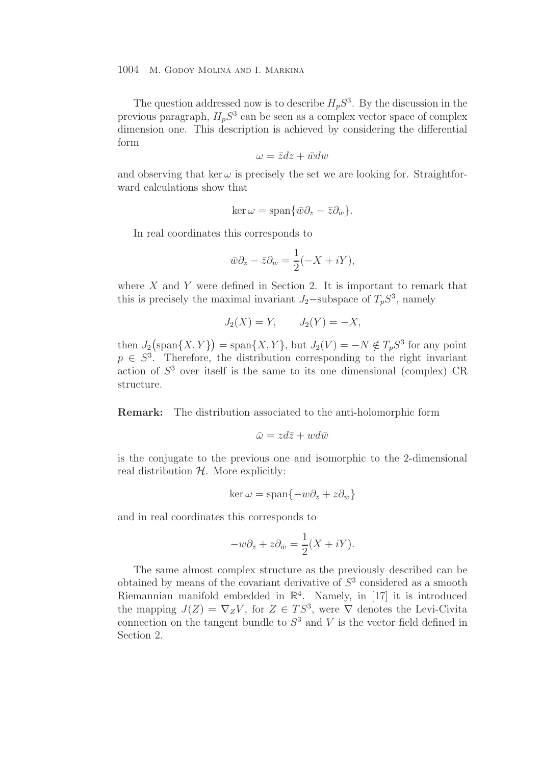The question addressed now is to describe  $H_pS^3$ . By the discussion in the previous paragraph,  $H_pS^3$  can be seen as a complex vector space of complex dimension one. This description is achieved by considering the differential form

$$
\omega = \bar{z}dz + \bar{w}dw
$$

and observing that ker  $\omega$  is precisely the set we are looking for. Straightforward calculations show that

$$
\ker \omega = \text{span}\{\bar{w}\partial_z - \bar{z}\partial_w\}.
$$

In real coordinates this corresponds to

$$
\bar{w}\partial_z - \bar{z}\partial_w = \frac{1}{2}(-X + iY),
$$

where  $X$  and  $Y$  were defined in Section 2. It is important to remark that this is precisely the maximal invariant  $J_2$ –subspace of  $T_pS^3$ , namely

$$
J_2(X) = Y, \qquad J_2(Y) = -X,
$$

then  $J_2$ (span $\{X, Y\}$ ) = span $\{X, Y\}$ , but  $J_2(V) = -N \notin T_p S^3$  for any point  $p \in S<sup>3</sup>$ . Therefore, the distribution corresponding to the right invariant action of  $S<sup>3</sup>$  over itself is the same to its one dimensional (complex) CR structure.

**Remark:** The distribution associated to the anti-holomorphic form

$$
\bar{\omega} = zd\bar{z} + wd\bar{w}
$$

is the conjugate to the previous one and isomorphic to the 2-dimensional real distribution  $H$ . More explicitly:

$$
\ker \omega = \text{span}\{-w\partial_{\bar{z}} + z\partial_{\bar{w}}\}
$$

and in real coordinates this corresponds to

$$
-w\partial_{\bar{z}} + z\partial_{\bar{w}} = \frac{1}{2}(X + iY).
$$

The same almost complex structure as the previously described can be obtained by means of the covariant derivative of  $S<sup>3</sup>$  considered as a smooth Riemannian manifold embedded in  $\mathbb{R}^4$ . Namely, in [17] it is introduced the mapping  $J(Z) = \nabla_Z V$ , for  $Z \in TS^3$ , were  $\nabla$  denotes the Levi-Civita connection on the tangent bundle to  $S<sup>3</sup>$  and V is the vector field defined in Section 2.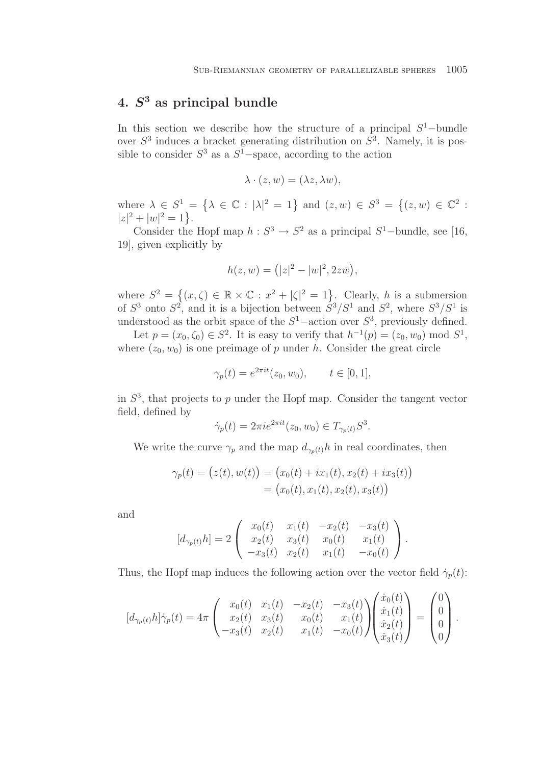# **4.** *S***<sup>3</sup> as principal bundle**

In this section we describe how the structure of a principal  $S^1$ -bundle over  $S^3$  induces a bracket generating distribution on  $S^3$ . Namely, it is possible to consider  $S^3$  as a  $S^1$ –space, according to the action

$$
\lambda \cdot (z, w) = (\lambda z, \lambda w),
$$

where  $\lambda \in S^1 = {\lambda \in \mathbb{C} : |\lambda|^2 = 1}$  and  $(z, w) \in S^3 = {(z, w) \in \mathbb{C}^2 : |\lambda|^2 = 1}$  $|z|^2 + |w|^2 = 1$ .

Consider the Hopf map  $h: S^3 \to S^2$  as a principal  $S^1$ -bundle, see [16, 19], given explicitly by

$$
h(z, w) = (|z|^2 - |w|^2, 2z\bar{w}),
$$

where  $S^2 = \{(x,\zeta) \in \mathbb{R} \times \mathbb{C} : x^2 + |\zeta|^2 = 1\}$ . Clearly, h is a submersion of  $S^3$  onto  $S^2$ , and it is a bijection between  $S^3/S^1$  and  $S^2$ , where  $S^3/S^1$  is understood as the orbit space of the  $S^1$ –action over  $S^3$ , previously defined.

Let  $p = (x_0, \zeta_0) \in S^2$ . It is easy to verify that  $h^{-1}(p) = (z_0, w_0) \mod S^1$ , where  $(z_0, w_0)$  is one preimage of p under h. Consider the great circle

$$
\gamma_p(t) = e^{2\pi it}(z_0, w_0), \qquad t \in [0, 1],
$$

in  $S<sup>3</sup>$ , that projects to p under the Hopf map. Consider the tangent vector field, defined by

$$
\dot{\gamma}_p(t) = 2\pi i e^{2\pi i t} (z_0, w_0) \in T_{\gamma_p(t)} S^3.
$$

We write the curve  $\gamma_p$  and the map  $d_{\gamma_p(t)}h$  in real coordinates, then

$$
\gamma_p(t) = (z(t), w(t)) = (x_0(t) + ix_1(t), x_2(t) + ix_3(t))
$$
  
= (x\_0(t), x\_1(t), x\_2(t), x\_3(t))

and

$$
[d_{\gamma_p(t)}h] = 2\begin{pmatrix} x_0(t) & x_1(t) & -x_2(t) & -x_3(t) \\ x_2(t) & x_3(t) & x_0(t) & x_1(t) \\ -x_3(t) & x_2(t) & x_1(t) & -x_0(t) \end{pmatrix}.
$$

Thus, the Hopf map induces the following action over the vector field  $\dot{\gamma}_p(t)$ :

$$
[d_{\gamma_p(t)}h]\dot{\gamma}_p(t) = 4\pi \begin{pmatrix} x_0(t) & x_1(t) & -x_2(t) & -x_3(t) \\ x_2(t) & x_3(t) & x_0(t) & x_1(t) \\ -x_3(t) & x_2(t) & x_1(t) & -x_0(t) \end{pmatrix} \begin{pmatrix} \dot{x}_0(t) \\ \dot{x}_1(t) \\ \dot{x}_2(t) \\ \dot{x}_3(t) \end{pmatrix} = \begin{pmatrix} 0 \\ 0 \\ 0 \\ 0 \end{pmatrix}.
$$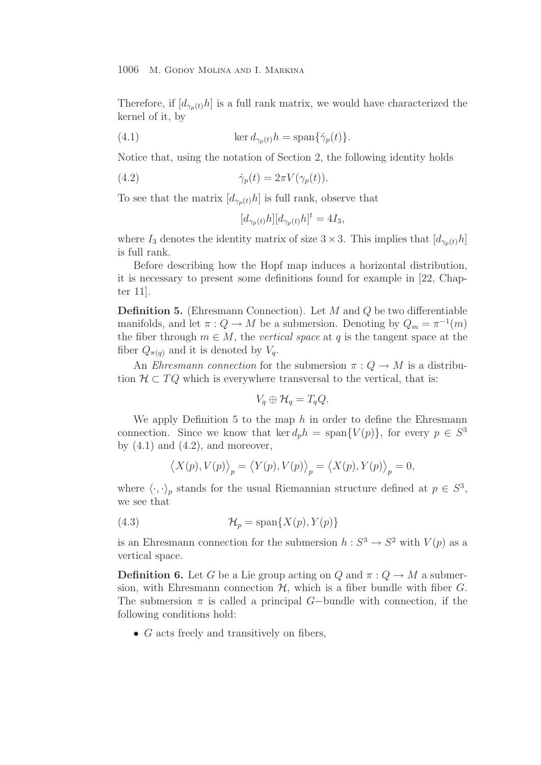Therefore, if  $[d_{\gamma_p(t)}h]$  is a full rank matrix, we would have characterized the kernel of it, by

(4.1) 
$$
\ker d_{\gamma_p(t)}h = \text{span}\{\dot{\gamma}_p(t)\}.
$$

Notice that, using the notation of Section 2, the following identity holds

(4.2) 
$$
\dot{\gamma}_p(t) = 2\pi V(\gamma_p(t)).
$$

To see that the matrix  $[d_{\gamma_p(t)}h]$  is full rank, observe that

$$
[d_{\gamma_p(t)}h][d_{\gamma_p(t)}h]^t = 4I_3,
$$

where  $I_3$  denotes the identity matrix of size  $3 \times 3$ . This implies that  $[d_{\gamma_p(t)}h]$ is full rank.

Before describing how the Hopf map induces a horizontal distribution, it is necessary to present some definitions found for example in [22, Chapter 11].

**Definition 5.** (Ehresmann Connection). Let M and Q be two differentiable manifolds, and let  $\pi: Q \to M$  be a submersion. Denoting by  $Q_m = \pi^{-1}(m)$ the fiber through  $m \in M$ , the *vertical space* at q is the tangent space at the fiber  $Q_{\pi(q)}$  and it is denoted by  $V_q$ .

An *Ehresmann connection* for the submersion  $\pi: Q \to M$  is a distribution  $\mathcal{H} \subset TQ$  which is everywhere transversal to the vertical, that is:

$$
V_q \oplus \mathcal{H}_q = T_q Q.
$$

We apply Definition 5 to the map  $h$  in order to define the Ehresmann connection. Since we know that ker  $d_p h = \text{span}\{V(p)\}\text{, for every } p \in S^3$ by  $(4.1)$  and  $(4.2)$ , and moreover,

$$
\langle X(p), V(p) \rangle_p = \langle Y(p), V(p) \rangle_p = \langle X(p), Y(p) \rangle_p = 0,
$$

where  $\langle \cdot, \cdot \rangle_p$  stands for the usual Riemannian structure defined at  $p \in S^3$ , we see that

(4.3) 
$$
\mathcal{H}_p = \text{span}\{X(p), Y(p)\}
$$

is an Ehresmann connection for the submersion  $h : S^3 \to S^2$  with  $V(p)$  as a vertical space.

**Definition 6.** Let G be a Lie group acting on Q and  $\pi: Q \to M$  a submersion, with Ehresmann connection  $H$ , which is a fiber bundle with fiber  $G$ . The submersion  $\pi$  is called a principal G-bundle with connection, if the following conditions hold:

•  $G$  acts freely and transitively on fibers,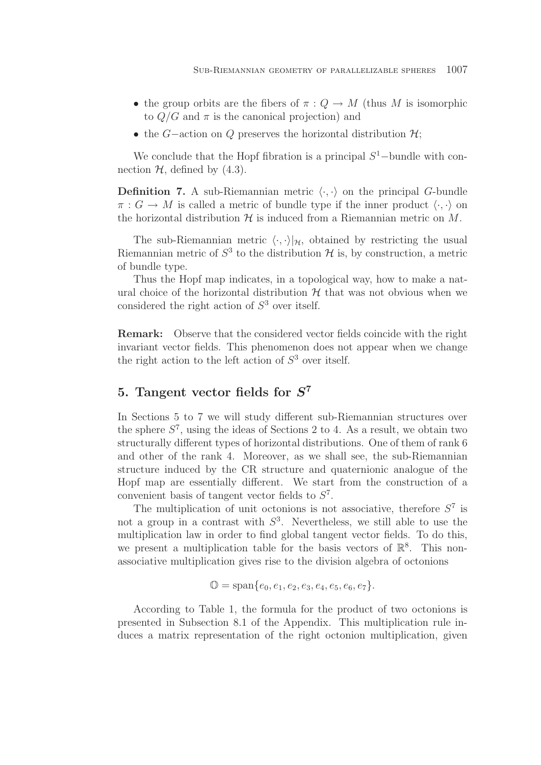- the group orbits are the fibers of  $\pi: Q \to M$  (thus M is isomorphic to  $Q/G$  and  $\pi$  is the canonical projection) and
- the G–action on Q preserves the horizontal distribution  $\mathcal{H}$ ;

We conclude that the Hopf fibration is a principal  $S<sup>1</sup>$ -bundle with connection  $H$ , defined by  $(4.3)$ .

**Definition 7.** A sub-Riemannian metric  $\langle \cdot, \cdot \rangle$  on the principal G-bundle  $\pi: G \to M$  is called a metric of bundle type if the inner product  $\langle \cdot, \cdot \rangle$  on the horizontal distribution  $\mathcal H$  is induced from a Riemannian metric on  $M$ .

The sub-Riemannian metric  $\langle \cdot, \cdot \rangle |_{\mathcal{H}}$ , obtained by restricting the usual Riemannian metric of  $S^3$  to the distribution  $\mathcal H$  is, by construction, a metric of bundle type.

Thus the Hopf map indicates, in a topological way, how to make a natural choice of the horizontal distribution  $H$  that was not obvious when we considered the right action of  $S<sup>3</sup>$  over itself.

**Remark:** Observe that the considered vector fields coincide with the right invariant vector fields. This phenomenon does not appear when we change the right action to the left action of  $S<sup>3</sup>$  over itself.

# **5. Tangent vector fields for** *S***<sup>7</sup>**

In Sections 5 to 7 we will study different sub-Riemannian structures over the sphere  $S^7$ , using the ideas of Sections 2 to 4. As a result, we obtain two structurally different types of horizontal distributions. One of them of rank 6 and other of the rank 4. Moreover, as we shall see, the sub-Riemannian structure induced by the CR structure and quaternionic analogue of the Hopf map are essentially different. We start from the construction of a convenient basis of tangent vector fields to  $S^7$ .

The multiplication of unit octonions is not associative, therefore  $S^7$  is not a group in a contrast with  $S^3$ . Nevertheless, we still able to use the multiplication law in order to find global tangent vector fields. To do this, we present a multiplication table for the basis vectors of  $\mathbb{R}^8$ . This nonassociative multiplication gives rise to the division algebra of octonions

$$
\mathbb{O} = \text{span}\{e_0, e_1, e_2, e_3, e_4, e_5, e_6, e_7\}.
$$

According to Table 1, the formula for the product of two octonions is presented in Subsection 8.1 of the Appendix. This multiplication rule induces a matrix representation of the right octonion multiplication, given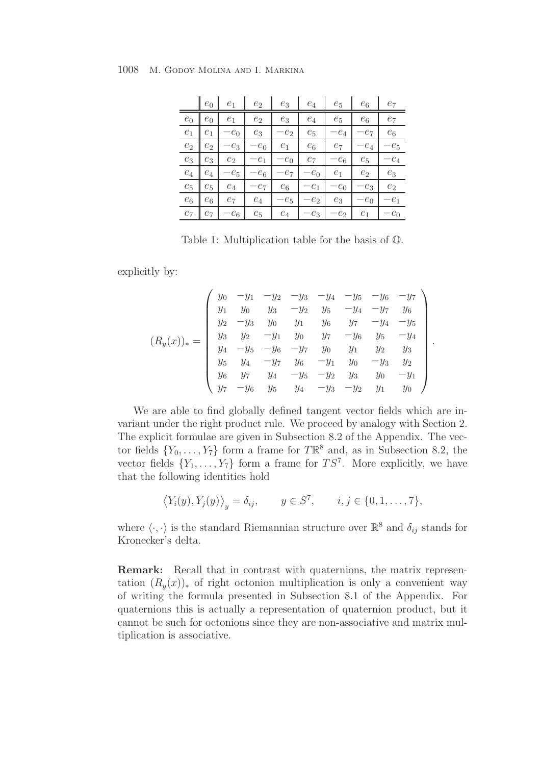|       | $e_0$ | $e_1$          | $e_2$  | $e_3$  | $e_4$  | $e_5$          | $e_6$          | $e_7$          |
|-------|-------|----------------|--------|--------|--------|----------------|----------------|----------------|
| $e_0$ | $e_0$ | $e_1$          | $e_2$  | $e_3$  | $e_4$  | $e_5$          | $e_6$          | $e_7$          |
| $e_1$ | $e_1$ | $-e_0$         | $e_3$  | $-e_2$ | $e_5$  | $-e_4$         | $-e_7$         | $e_6$          |
| $e_2$ | $e_2$ | $-e_3$         | $-e_0$ | $e_1$  | $e_6$  | $e_7$          | $-e_4$         | $-e_5$         |
| $e_3$ | $e_3$ | e <sub>2</sub> | $-e_1$ | $-e_0$ | $e_7$  | $-e_6$         | $e_5$          | $-e_4$         |
| $e_4$ | $e_4$ | $-e_5$         | $-e_6$ | $-e_7$ | $-e_0$ | e <sub>1</sub> | e <sub>2</sub> | $e_3$          |
| $e_5$ | $e_5$ | $e_4$          | $-e_7$ | $e_6$  | $-e_1$ | $-e_0$         | $-e_3$         | e <sub>2</sub> |
| $e_6$ | $e_6$ | $e_7$          | $e_4$  | $-e_5$ | $-e_2$ | $e_3$          | $-e_0$         | $-e_1$         |
| $e_7$ | е7    | $-e_6$         | $e_5$  | $e_4$  | $-e_3$ | $-e_2$         | $e_1$          | $-e_0$         |

Table 1: Multiplication table for the basis of O.

explicitly by:

$$
(R_y(x))_* = \begin{pmatrix} y_0 & -y_1 & -y_2 & -y_3 & -y_4 & -y_5 & -y_6 & -y_7 \ y_1 & y_0 & y_3 & -y_2 & y_5 & -y_4 & -y_7 & y_6 \ y_2 & -y_3 & y_0 & y_1 & y_6 & y_7 & -y_4 & -y_5 \ y_3 & y_2 & -y_1 & y_0 & y_7 & -y_6 & y_5 & -y_4 \ y_4 & -y_5 & -y_6 & -y_7 & y_0 & y_1 & y_2 & y_3 \ y_5 & y_4 & -y_5 & -y_2 & y_3 & y_0 & -y_1 \ y_7 & -y_6 & y_5 & y_4 & -y_3 & -y_2 & y_1 & y_0 \end{pmatrix}
$$

.

We are able to find globally defined tangent vector fields which are invariant under the right product rule. We proceed by analogy with Section 2. The explicit formulae are given in Subsection 8.2 of the Appendix. The vector fields  $\{Y_0,\ldots,Y_7\}$  form a frame for  $T\mathbb{R}^8$  and, as in Subsection 8.2, the vector fields  $\{Y_1,\ldots,Y_7\}$  form a frame for  $TS^7$ . More explicitly, we have that the following identities hold

$$
\langle Y_i(y), Y_j(y) \rangle_y = \delta_{ij}, \qquad y \in S^7, \qquad i, j \in \{0, 1, \dots, 7\},
$$

where  $\langle \cdot, \cdot \rangle$  is the standard Riemannian structure over  $\mathbb{R}^8$  and  $\delta_{ij}$  stands for Kronecker's delta.

**Remark:** Recall that in contrast with quaternions, the matrix representation  $(R_u(x))_*$  of right octonion multiplication is only a convenient way of writing the formula presented in Subsection 8.1 of the Appendix. For quaternions this is actually a representation of quaternion product, but it cannot be such for octonions since they are non-associative and matrix multiplication is associative.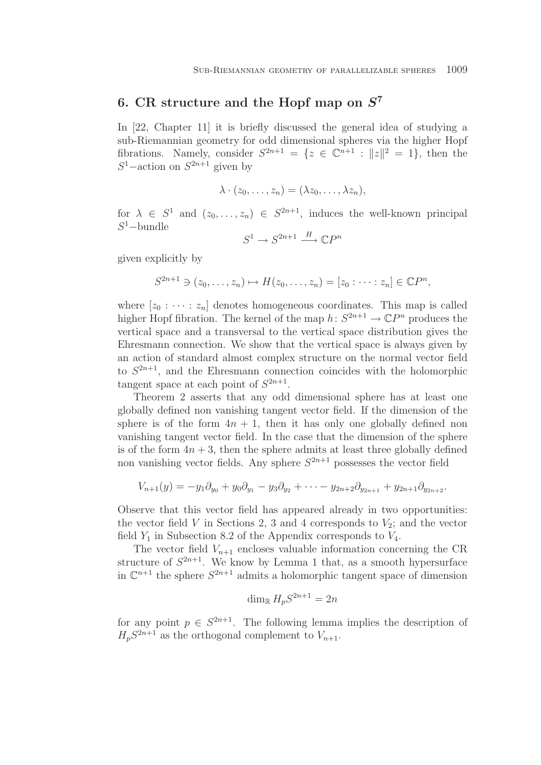# **6. CR structure and the Hopf map on** *S***<sup>7</sup>**

In [22, Chapter 11] it is briefly discussed the general idea of studying a sub-Riemannian geometry for odd dimensional spheres via the higher Hopf fibrations. Namely, consider  $S^{2n+1} = \{z \in \mathbb{C}^{n+1} : ||z||^2 = 1\}$ , then the  $S^1$ –action on  $S^{2n+1}$  given by

$$
\lambda \cdot (z_0, \ldots, z_n) = (\lambda z_0, \ldots, \lambda z_n),
$$

for  $\lambda \in S^1$  and  $(z_0,\ldots,z_n) \in S^{2n+1}$ , induces the well-known principal  $S^1$ –bundle

$$
S^1 \to S^{2n+1} \xrightarrow{H} \mathbb{C}P^n
$$

given explicitly by

$$
S^{2n+1} \ni (z_0, \ldots, z_n) \mapsto H(z_0, \ldots, z_n) = [z_0 : \cdots : z_n] \in \mathbb{C}P^n,
$$

where  $[z_0 : \cdots : z_n]$  denotes homogeneous coordinates. This map is called higher Hopf fibration. The kernel of the map  $h: S^{2n+1} \to \mathbb{C}P^n$  produces the vertical space and a transversal to the vertical space distribution gives the Ehresmann connection. We show that the vertical space is always given by an action of standard almost complex structure on the normal vector field to  $S^{2n+1}$ , and the Ehresmann connection coincides with the holomorphic tangent space at each point of  $S^{2n+1}$ .

Theorem 2 asserts that any odd dimensional sphere has at least one globally defined non vanishing tangent vector field. If the dimension of the sphere is of the form  $4n + 1$ , then it has only one globally defined non vanishing tangent vector field. In the case that the dimension of the sphere is of the form  $4n + 3$ , then the sphere admits at least three globally defined non vanishing vector fields. Any sphere  $S^{2n+1}$  possesses the vector field

$$
V_{n+1}(y) = -y_1 \partial_{y_0} + y_0 \partial_{y_1} - y_3 \partial_{y_2} + \cdots - y_{2n+2} \partial_{y_{2n+1}} + y_{2n+1} \partial_{y_{2n+2}}.
$$

Observe that this vector field has appeared already in two opportunities: the vector field V in Sections 2, 3 and 4 corresponds to  $V_2$ ; and the vector field  $Y_1$  in Subsection 8.2 of the Appendix corresponds to  $V_4$ .

The vector field  $V_{n+1}$  encloses valuable information concerning the CR structure of  $S^{2n+1}$ . We know by Lemma 1 that, as a smooth hypersurface in  $\mathbb{C}^{n+1}$  the sphere  $S^{2n+1}$  admits a holomorphic tangent space of dimension

$$
\dim_{\mathbb{R}} H_p S^{2n+1} = 2n
$$

for any point  $p \in S^{2n+1}$ . The following lemma implies the description of  $H_pS^{2n+1}$  as the orthogonal complement to  $V_{n+1}$ .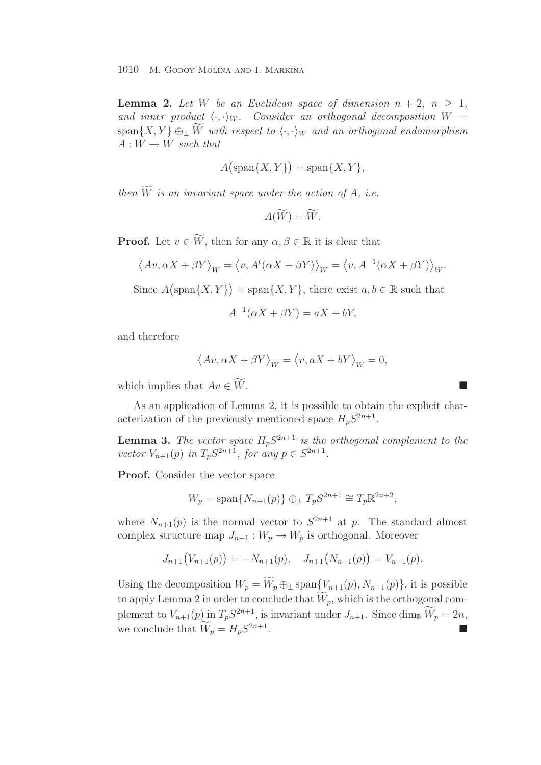**Lemma 2.** Let W be an Euclidean space of dimension  $n + 2$ ,  $n \geq 1$ , and inner product  $\langle \cdot, \cdot \rangle_W$ . Consider an orthogonal decomposition  $W =$  $\text{span}\{X, Y\} \oplus_{\perp} \widetilde{W}$  with respect to  $\langle \cdot, \cdot \rangle_W$  and an orthogonal endomorphism  $A: W \rightarrow W$  *such that* 

$$
A\big(\text{span}\{X,Y\}\big) = \text{span}\{X,Y\},\
$$

*then*  $\widetilde{W}$  *is an invariant space under the action of A, i.e.* 

$$
A(\widetilde{W})=\widetilde{W}.
$$

**Proof.** Let  $v \in \widetilde{W}$ , then for any  $\alpha, \beta \in \mathbb{R}$  it is clear that

$$
\langle Av, \alpha X + \beta Y \rangle_W = \langle v, A^t(\alpha X + \beta Y) \rangle_W = \langle v, A^{-1}(\alpha X + \beta Y) \rangle_W.
$$

Since  $A(\text{span}\{X,Y\}) = \text{span}\{X,Y\}$ , there exist  $a, b \in \mathbb{R}$  such that

$$
A^{-1}(\alpha X + \beta Y) = aX + bY,
$$

and therefore

$$
\left\langle Av,\alpha X+\beta Y\right\rangle _{W}=\left\langle v,aX+bY\right\rangle _{W}=0,
$$

which implies that  $Av \in \widetilde{W}$ .  $W$ .

As an application of Lemma 2, it is possible to obtain the explicit characterization of the previously mentioned space  $H_pS^{2n+1}$ .

**Lemma 3.** The vector space  $H_pS^{2n+1}$  is the orthogonal complement to the *vector*  $V_{n+1}(p)$  *in*  $T_p S^{2n+1}$ *, for any*  $p \in S^{2n+1}$ *.* 

**Proof.** Consider the vector space

$$
W_p = \text{span}\{N_{n+1}(p)\}\oplus_{\perp} T_p S^{2n+1} \cong T_p \mathbb{R}^{2n+2},
$$

where  $N_{n+1}(p)$  is the normal vector to  $S^{2n+1}$  at p. The standard almost complex structure map  $J_{n+1}: W_p \to W_p$  is orthogonal. Moreover

$$
J_{n+1}(V_{n+1}(p)) = -N_{n+1}(p), \quad J_{n+1}(N_{n+1}(p)) = V_{n+1}(p).
$$

Using the decomposition  $W_p = \widetilde{W}_p \oplus \bot \text{span}\{\underline{V}_{n+1}(p), N_{n+1}(p)\}\)$ , it is possible to apply Lemma 2 in order to conclude that  $\widetilde{W}_p$ , which is the orthogonal complement to  $V_{n+1}(p)$  in  $T_p S^{2n+1}$ , is invariant under  $J_{n+1}$ . Since  $\dim_{\mathbb{R}} \widetilde{W}_p = 2n$ , we conclude that  $\widetilde{W}_p = H_p S^{2n+1}$ .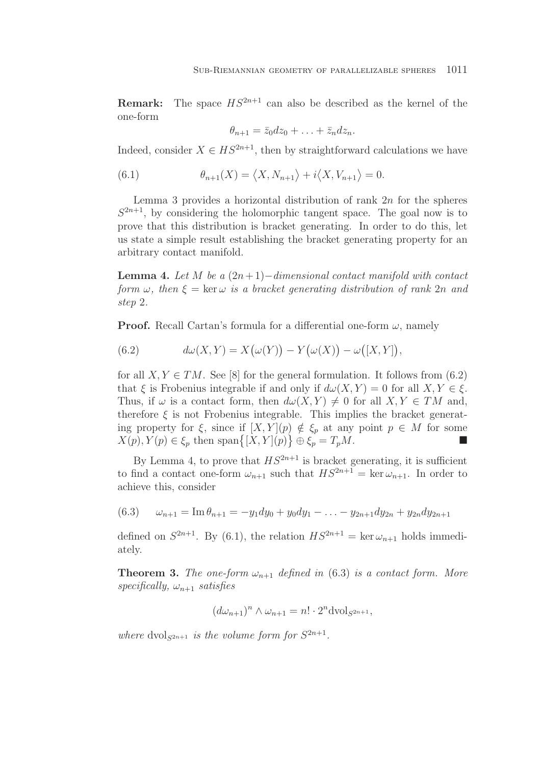**Remark:** The space  $HS^{2n+1}$  can also be described as the kernel of the one-form

$$
\theta_{n+1} = \bar{z}_0 dz_0 + \ldots + \bar{z}_n dz_n.
$$

Indeed, consider  $X \in HS^{2n+1}$ , then by straightforward calculations we have

(6.1) 
$$
\theta_{n+1}(X) = \langle X, N_{n+1} \rangle + i \langle X, V_{n+1} \rangle = 0.
$$

Lemma 3 provides a horizontal distribution of rank  $2n$  for the spheres  $S^{2n+1}$ , by considering the holomorphic tangent space. The goal now is to prove that this distribution is bracket generating. In order to do this, let us state a simple result establishing the bracket generating property for an arbitrary contact manifold.

**Lemma 4.** *Let* M *be a* (2n+ 1)−*dimensional contact manifold with contact form*  $\omega$ , then  $\xi = \ker \omega$  *is a bracket generating distribution of rank* 2n *and step* 2*.*

**Proof.** Recall Cartan's formula for a differential one-form  $\omega$ , namely

(6.2) 
$$
d\omega(X,Y) = X(\omega(Y)) - Y(\omega(X)) - \omega([X,Y]),
$$

for all  $X, Y \in TM$ . See [8] for the general formulation. It follows from (6.2) that  $\xi$  is Frobenius integrable if and only if  $d\omega(X, Y) = 0$  for all  $X, Y \in \xi$ . Thus, if  $\omega$  is a contact form, then  $d\omega(X, Y) \neq 0$  for all  $X, Y \in TM$  and, therefore  $\xi$  is not Frobenius integrable. This implies the bracket generating property for  $\xi$ , since if  $[X, Y](p) \notin \xi_p$  at any point  $p \in M$  for some  $X(p), Y(p) \in \xi_p$  then span $\{[X, Y](p)\} \oplus \xi_p = T_p M$ .

By Lemma 4, to prove that  $HS^{2n+1}$  is bracket generating, it is sufficient to find a contact one-form  $\omega_{n+1}$  such that  $HS^{2n+1} = \ker \omega_{n+1}$ . In order to achieve this, consider

(6.3)  $\omega_{n+1} = \text{Im} \theta_{n+1} = -y_1 dy_0 + y_0 dy_1 - \ldots - y_{2n+1} dy_{2n} + y_{2n} dy_{2n+1}$ 

defined on  $S^{2n+1}$ . By (6.1), the relation  $HS^{2n+1} = \ker \omega_{n+1}$  holds immediately.

**Theorem 3.** *The one-form*  $\omega_{n+1}$  *defined in* (6.3) *is a contact form. More*  $specifically, \omega_{n+1}$  *satisfies* 

$$
(d\omega_{n+1})^n \wedge \omega_{n+1} = n! \cdot 2^n \text{dvol}_{S^{2n+1}},
$$

*where*  $dvol_{S^{2n+1}}$  *is the volume form for*  $S^{2n+1}$ *.*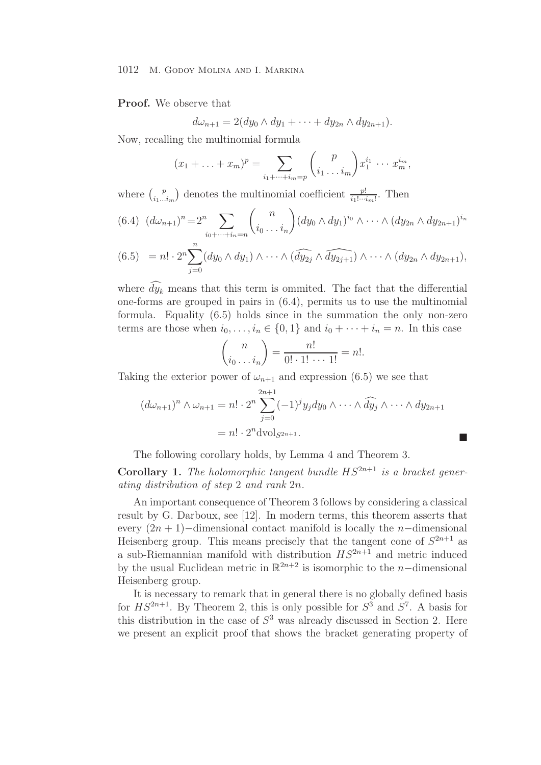### **Proof.** We observe that

$$
d\omega_{n+1} = 2(dy_0 \wedge dy_1 + \cdots + dy_{2n} \wedge dy_{2n+1}).
$$

Now, recalling the multinomial formula

$$
(x_1 + \ldots + x_m)^p = \sum_{i_1 + \cdots + i_m = p} {p \choose i_1 \ldots i_m} x_1^{i_1} \cdots x_m^{i_m},
$$

where  $\binom{p}{i_1...i_m}$  denotes the multinomial coefficient  $\frac{p!}{i_1!...i_m!}$ . Then

$$
(6.4) \ (d\omega_{n+1})^n = 2^n \sum_{i_0 + \dots + i_n = n} {n \choose i_0 \dots i_n} (dy_0 \wedge dy_1)^{i_0} \wedge \dots \wedge (dy_{2n} \wedge dy_{2n+1})^{i_n}
$$

$$
(6.5) = n! \cdot 2^n \sum_{j=0}^n (dy_0 \wedge dy_1) \wedge \cdots \wedge (\widehat{dy_{2j}} \wedge \widehat{dy_{2j+1}}) \wedge \cdots \wedge (dy_{2n} \wedge dy_{2n+1}),
$$

where  $\widehat{dy}_k$  means that this term is ommited. The fact that the differential one-forms are grouped in pairs in (6.4), permits us to use the multinomial formula. Equality (6.5) holds since in the summation the only non-zero terms are those when  $i_0, \ldots, i_n \in \{0, 1\}$  and  $i_0 + \cdots + i_n = n$ . In this case

$$
\binom{n}{i_0 \dots i_n} = \frac{n!}{0! \cdot 1! \cdot \dots \cdot 1!} = n!.
$$

Taking the exterior power of  $\omega_{n+1}$  and expression (6.5) we see that

$$
(d\omega_{n+1})^n \wedge \omega_{n+1} = n! \cdot 2^n \sum_{j=0}^{2n+1} (-1)^j y_j dy_0 \wedge \cdots \wedge \widehat{dy}_j \wedge \cdots \wedge dy_{2n+1}
$$

$$
= n! \cdot 2^n \text{dvol}_{S^{2n+1}}.
$$

The following corollary holds, by Lemma 4 and Theorem 3.

**Corollary 1.** The holomorphic tangent bundle  $HS^{2n+1}$  is a bracket gener*ating distribution of step* 2 *and rank* 2n*.*

An important consequence of Theorem 3 follows by considering a classical result by G. Darboux, see [12]. In modern terms, this theorem asserts that every  $(2n + 1)$ −dimensional contact manifold is locally the *n*−dimensional Heisenberg group. This means precisely that the tangent cone of  $S^{2n+1}$  as a sub-Riemannian manifold with distribution  $HS^{2n+1}$  and metric induced by the usual Euclidean metric in  $\mathbb{R}^{2n+2}$  is isomorphic to the n-dimensional Heisenberg group.

It is necessary to remark that in general there is no globally defined basis for  $HS^{2n+1}$ . By Theorem 2, this is only possible for  $S^3$  and  $S^7$ . A basis for this distribution in the case of  $S<sup>3</sup>$  was already discussed in Section 2. Here we present an explicit proof that shows the bracket generating property of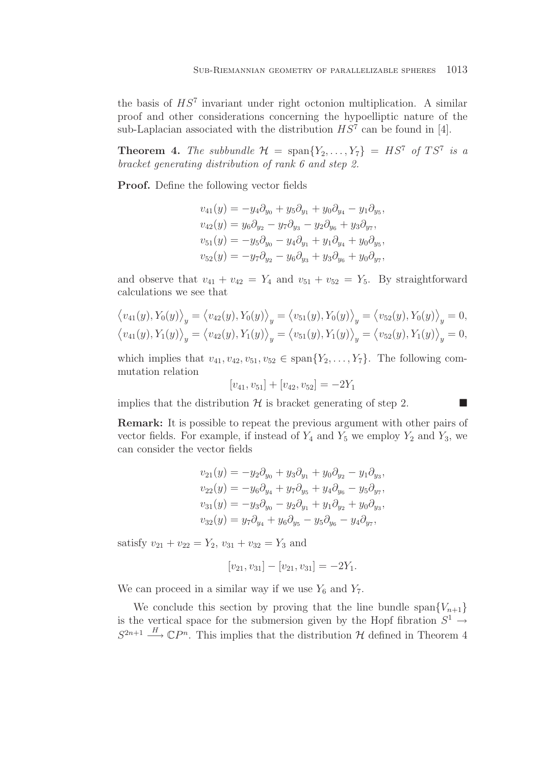the basis of  $HS<sup>7</sup>$  invariant under right octonion multiplication. A similar proof and other considerations concerning the hypoelliptic nature of the sub-Laplacian associated with the distribution  $HS^7$  can be found in [4].

**Theorem 4.** The subbundle  $\mathcal{H} = \text{span}\{Y_2,\ldots,Y_7\} = HS^7$  of  $TS^7$  is a *bracket generating distribution of rank 6 and step 2.*

**Proof.** Define the following vector fields

$$
v_{41}(y) = -y_4 \partial_{y_0} + y_5 \partial_{y_1} + y_0 \partial_{y_4} - y_1 \partial_{y_5},
$$
  
\n
$$
v_{42}(y) = y_6 \partial_{y_2} - y_7 \partial_{y_3} - y_2 \partial_{y_6} + y_3 \partial_{y_7},
$$
  
\n
$$
v_{51}(y) = -y_5 \partial_{y_0} - y_4 \partial_{y_1} + y_1 \partial_{y_4} + y_0 \partial_{y_5},
$$
  
\n
$$
v_{52}(y) = -y_7 \partial_{y_2} - y_6 \partial_{y_3} + y_3 \partial_{y_6} + y_0 \partial_{y_7},
$$

and observe that  $v_{41} + v_{42} = Y_4$  and  $v_{51} + v_{52} = Y_5$ . By straightforward calculations we see that

$$
\langle v_{41}(y), Y_0(y) \rangle_y = \langle v_{42}(y), Y_0(y) \rangle_y = \langle v_{51}(y), Y_0(y) \rangle_y = \langle v_{52}(y), Y_0(y) \rangle_y = 0,
$$
  

$$
\langle v_{41}(y), Y_1(y) \rangle_y = \langle v_{42}(y), Y_1(y) \rangle_y = \langle v_{51}(y), Y_1(y) \rangle_y = \langle v_{52}(y), Y_1(y) \rangle_y = 0,
$$

which implies that  $v_{41}, v_{42}, v_{51}, v_{52} \in \text{span}\{Y_2,\ldots,Y_7\}$ . The following commutation relation

$$
[v_{41}, v_{51}] + [v_{42}, v_{52}] = -2Y_1
$$

implies that the distribution  $\mathcal H$  is bracket generating of step 2.

**Remark:** It is possible to repeat the previous argument with other pairs of vector fields. For example, if instead of  $Y_4$  and  $Y_5$  we employ  $Y_2$  and  $Y_3$ , we can consider the vector fields

$$
v_{21}(y) = -y_2 \partial_{y_0} + y_3 \partial_{y_1} + y_0 \partial_{y_2} - y_1 \partial_{y_3},
$$
  
\n
$$
v_{22}(y) = -y_6 \partial_{y_4} + y_7 \partial_{y_5} + y_4 \partial_{y_6} - y_5 \partial_{y_7},
$$
  
\n
$$
v_{31}(y) = -y_3 \partial_{y_0} - y_2 \partial_{y_1} + y_1 \partial_{y_2} + y_0 \partial_{y_3},
$$
  
\n
$$
v_{32}(y) = y_7 \partial_{y_4} + y_6 \partial_{y_5} - y_5 \partial_{y_6} - y_4 \partial_{y_7},
$$

satisfy  $v_{21} + v_{22} = Y_2$ ,  $v_{31} + v_{32} = Y_3$  and

$$
[v_{21}, v_{31}] - [v_{21}, v_{31}] = -2Y_1.
$$

We can proceed in a similar way if we use  $Y_6$  and  $Y_7$ .

We conclude this section by proving that the line bundle span ${V_{n+1}}$ is the vertical space for the submersion given by the Hopf fibration  $S^1 \rightarrow$  $S^{2n+1} \stackrel{H}{\longrightarrow} \mathbb{C}P^n$ . This implies that the distribution H defined in Theorem 4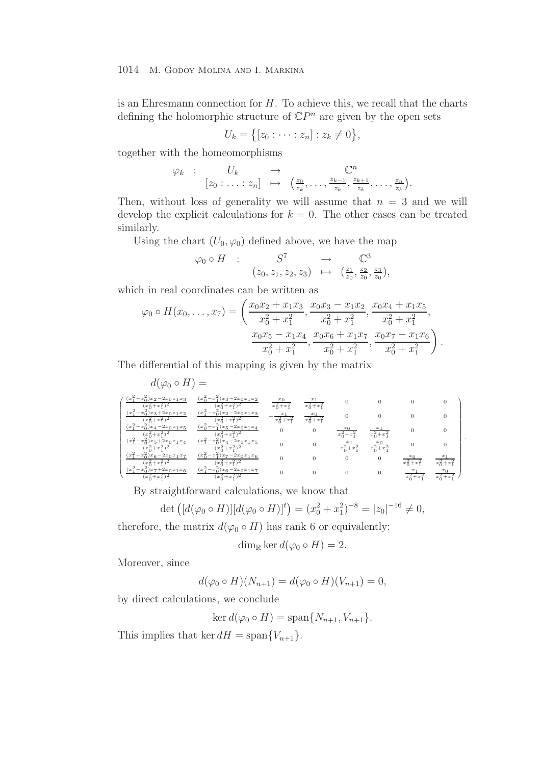is an Ehresmann connection for  $H$ . To achieve this, we recall that the charts defining the holomorphic structure of  $\mathbb{C}P^n$  are given by the open sets

$$
U_k = \{ [z_0 : \cdots : z_n] : z_k \neq 0 \},\
$$

together with the homeomorphisms

$$
\varphi_k
$$
 :  $U_k \to \mathbb{C}^n$   
\n $[z_0 : \ldots : z_n] \mapsto (\frac{z_0}{z_k}, \ldots, \frac{z_{k-1}}{z_k}, \frac{z_{k+1}}{z_k}, \ldots, \frac{z_n}{z_k}).$ 

Then, without loss of generality we will assume that  $n = 3$  and we will develop the explicit calculations for  $k = 0$ . The other cases can be treated similarly.

Using the chart  $(U_0, \varphi_0)$  defined above, we have the map

$$
\varphi_0 \circ H \quad : \qquad S^7 \qquad \to \qquad \mathbb{C}^3 (z_0, z_1, z_2, z_3) \quad \mapsto \quad (\frac{z_1}{z_0}, \frac{z_2}{z_0}, \frac{z_3}{z_0}),
$$

which in real coordinates can be written as

$$
\varphi_0 \circ H(x_0, \ldots, x_7) = \left( \frac{x_0 x_2 + x_1 x_3}{x_0^2 + x_1^2}, \frac{x_0 x_3 - x_1 x_2}{x_0^2 + x_1^2}, \frac{x_0 x_4 + x_1 x_5}{x_0^2 + x_1^2}, \frac{x_0 x_5 - x_1 x_4}{x_0^2 + x_1^2}, \frac{x_0 x_6 + x_1 x_7}{x_0^2 + x_1^2}, \frac{x_0 x_7 - x_1 x_6}{x_0^2 + x_1^2} \right).
$$

The differential of this mapping is given by the matrix

| $d(\varphi_0 \circ H) =$                                                   |                                                        |          |                 |                 |                 |          |
|----------------------------------------------------------------------------|--------------------------------------------------------|----------|-----------------|-----------------|-----------------|----------|
| $-x_0^2$ ) $x_2 - 2x_0x_1x_3$<br>$x_1$<br>$(x_0^2+x_1^2)^2$                | $(x_0^2 - x_1^2)x_3 - 2x_0x_1x_2$<br>$(x_0^2+x_1^2)^2$ |          | $x_0^2 + x_1^2$ |                 |                 | $\Omega$ |
| $-x_0^2)x_3+2x_0x_1x_2$<br>$x_1^2$<br>$(x_0^2+x_1^2)^2$                    | $(x_1^2-x_0^2)x_2-2x_0x_1x_3$<br>$(x_0^2+x_1^2)^2$     |          | $x_0^2 + x_1^2$ |                 |                 | $\Omega$ |
| $\left(x_1^2\right)$<br>$-x_0^2$ ) $x_4 - 2x_0x_1x_5$<br>$(x_0^2+x_1^2)^2$ | $(x_0^2-x_1^2)x_5-2x_0x_1x_4$<br>$(x_0^2+x_1^2)^2$     | $\theta$ | $\theta$        | $x_0^2 + x_1^2$ | $x_0^2 + x_1^2$ | $\Omega$ |
| $\left(x_1^2\right)$<br>$-x_0^2)x_5+2x_0x_1x_4$<br>$(x_0^2+x_1^2)^2$       | $(x_1^2-x_0^2)x_4-2x_0x_1x_5$<br>$(x_0^2+x_1^2)^2$     |          | $\theta$        |                 | $x_0^2 + x_1^2$ | $\Omega$ |
| $\left(x_1^2\right)$<br>$(-x_0^2)x_6-2x_0x_1x_7$                           | $(x_0^2-x_1^2)x_7-2x_0x_1x_6$<br>$x + x + 2$<br>xz     |          |                 | $\theta$        | $\theta$        | x        |
| $\left\lfloor x \right\rfloor^2$<br>$(-x_0^2)x_7+2x_0x_1x_6$               | $(x_1^2-x_0^2)x_6-2x_0x_1x_7$                          |          |                 |                 | 0               | $x_0$    |

By straightforward calculations, we know that

$$
\det ([d(\varphi_0 \circ H)][d(\varphi_0 \circ H)]^t) = (x_0^2 + x_1^2)^{-8} = |z_0|^{-16} \neq 0,
$$

therefore, the matrix  $d(\varphi_0 \circ H)$  has rank 6 or equivalently:

$$
\dim_{\mathbb{R}} \ker d(\varphi_0 \circ H) = 2.
$$

Moreover, since

$$
d(\varphi_0 \circ H)(N_{n+1}) = d(\varphi_0 \circ H)(V_{n+1}) = 0,
$$

by direct calculations, we conclude

$$
\ker d(\varphi_0 \circ H) = \operatorname{span}\{N_{n+1}, V_{n+1}\}.
$$

This implies that ker  $dH = \text{span}\{V_{n+1}\}.$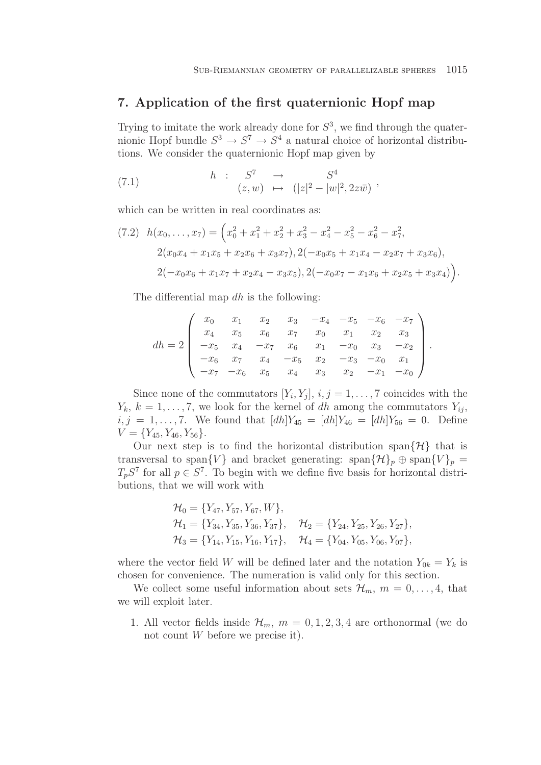### **7. Application of the first quaternionic Hopf map**

Trying to imitate the work already done for  $S<sup>3</sup>$ , we find through the quaternionic Hopf bundle  $S^3 \to S^7 \to S^4$  a natural choice of horizontal distributions. We consider the quaternionic Hopf map given by

(7.1) 
$$
h : S^7 \rightarrow S^4
$$

$$
(z, w) \mapsto (|z|^2 - |w|^2, 2z\overline{w})
$$

which can be written in real coordinates as:

$$
(7.2) \quad h(x_0, \ldots, x_7) = \left(x_0^2 + x_1^2 + x_2^2 + x_3^2 - x_4^2 - x_5^2 - x_6^2 - x_7^2, 2(x_0x_4 + x_1x_5 + x_2x_6 + x_3x_7), 2(-x_0x_5 + x_1x_4 - x_2x_7 + x_3x_6), 2(-x_0x_6 + x_1x_7 + x_2x_4 - x_3x_5), 2(-x_0x_7 - x_1x_6 + x_2x_5 + x_3x_4)\right).
$$

The differential map dh is the following:

$$
dh = 2 \begin{pmatrix} x_0 & x_1 & x_2 & x_3 & -x_4 & -x_5 & -x_6 & -x_7 \\ x_4 & x_5 & x_6 & x_7 & x_0 & x_1 & x_2 & x_3 \\ -x_5 & x_4 & -x_7 & x_6 & x_1 & -x_0 & x_3 & -x_2 \\ -x_6 & x_7 & x_4 & -x_5 & x_2 & -x_3 & -x_0 & x_1 \\ -x_7 & -x_6 & x_5 & x_4 & x_3 & x_2 & -x_1 & -x_0 \end{pmatrix}.
$$

Since none of the commutators  $[Y_i, Y_j], i, j = 1, \ldots, 7$  coincides with the  $Y_k, k = 1, \ldots, 7$ , we look for the kernel of dh among the commutators  $Y_{ij}$ ,  $i, j = 1, \ldots, 7$ . We found that  $[dh]Y_{45} = [dh]Y_{46} = [dh]Y_{56} = 0$ . Define  $V = \{Y_{45}, Y_{46}, Y_{56}\}.$ 

Our next step is to find the horizontal distribution span $\{\mathcal{H}\}\$  that is transversal to span $\{V\}$  and bracket generating: span $\{\mathcal{H}\}_p \oplus \text{span}\{V\}_p =$  $T_pS^7$  for all  $p \in S^7$ . To begin with we define five basis for horizontal distributions, that we will work with

$$
\mathcal{H}_0 = \{Y_{47}, Y_{57}, Y_{67}, W\},
$$
  
\n
$$
\mathcal{H}_1 = \{Y_{34}, Y_{35}, Y_{36}, Y_{37}\}, \quad \mathcal{H}_2 = \{Y_{24}, Y_{25}, Y_{26}, Y_{27}\},
$$
  
\n
$$
\mathcal{H}_3 = \{Y_{14}, Y_{15}, Y_{16}, Y_{17}\}, \quad \mathcal{H}_4 = \{Y_{04}, Y_{05}, Y_{06}, Y_{07}\},
$$

where the vector field W will be defined later and the notation  $Y_{0k} = Y_k$  is chosen for convenience. The numeration is valid only for this section.

We collect some useful information about sets  $\mathcal{H}_m$ ,  $m = 0, \ldots, 4$ , that we will exploit later.

1. All vector fields inside  $\mathcal{H}_m$ ,  $m = 0, 1, 2, 3, 4$  are orthonormal (we do not count W before we precise it).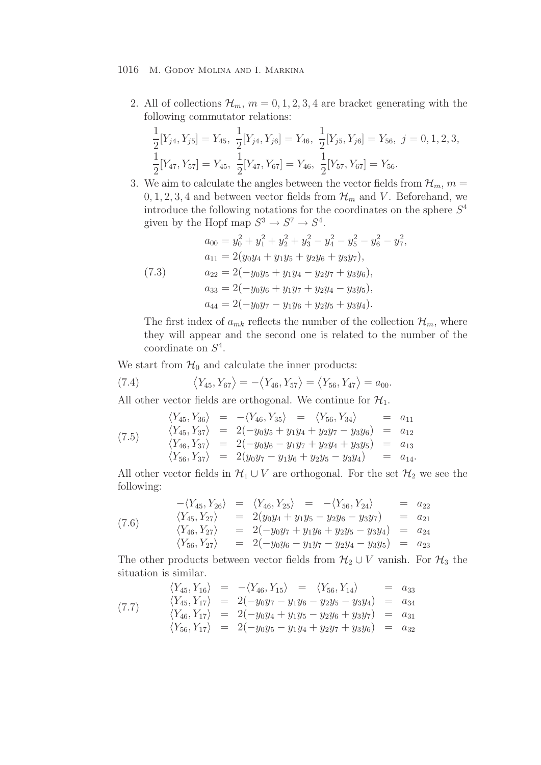2. All of collections  $\mathcal{H}_m$ ,  $m = 0, 1, 2, 3, 4$  are bracket generating with the following commutator relations:

$$
\frac{1}{2}[Y_{j4}, Y_{j5}] = Y_{45}, \quad \frac{1}{2}[Y_{j4}, Y_{j6}] = Y_{46}, \quad \frac{1}{2}[Y_{j5}, Y_{j6}] = Y_{56}, \quad j = 0, 1, 2, 3, \n\frac{1}{2}[Y_{47}, Y_{57}] = Y_{45}, \quad \frac{1}{2}[Y_{47}, Y_{67}] = Y_{46}, \quad \frac{1}{2}[Y_{57}, Y_{67}] = Y_{56}.
$$

3. We aim to calculate the angles between the vector fields from  $\mathcal{H}_m$ ,  $m =$  $0, 1, 2, 3, 4$  and between vector fields from  $\mathcal{H}_m$  and V. Beforehand, we introduce the following notations for the coordinates on the sphere  $S<sup>4</sup>$ given by the Hopf map  $S^3 \to S^7 \to S^4$ .

(7.3)  
\n
$$
a_{00} = y_0^2 + y_1^2 + y_2^2 + y_3^2 - y_4^2 - y_5^2 - y_6^2 - y_7^2,
$$
\n
$$
a_{11} = 2(y_0y_4 + y_1y_5 + y_2y_6 + y_3y_7),
$$
\n
$$
a_{22} = 2(-y_0y_5 + y_1y_4 - y_2y_7 + y_3y_6),
$$
\n
$$
a_{33} = 2(-y_0y_6 + y_1y_7 + y_2y_4 - y_3y_5),
$$
\n
$$
a_{44} = 2(-y_0y_7 - y_1y_6 + y_2y_5 + y_3y_4).
$$

The first index of  $a_{mk}$  reflects the number of the collection  $\mathcal{H}_m$ , where they will appear and the second one is related to the number of the coordinate on  $S^4$ .

We start from  $\mathcal{H}_0$  and calculate the inner products:

(7.4) 
$$
\langle Y_{45}, Y_{67} \rangle = -\langle Y_{46}, Y_{57} \rangle = \langle Y_{56}, Y_{47} \rangle = a_{00}.
$$

All other vector fields are orthogonal. We continue for  $\mathcal{H}_1$ .

$$
\langle Y_{45}, Y_{36} \rangle = -\langle Y_{46}, Y_{35} \rangle = \langle Y_{56}, Y_{34} \rangle = a_{11}
$$
  
\n
$$
\langle Y_{45}, Y_{37} \rangle = 2(-y_0y_5 + y_1y_4 + y_2y_7 - y_3y_6) = a_{12}
$$
  
\n
$$
\langle Y_{46}, Y_{37} \rangle = 2(-y_0y_6 - y_1y_7 + y_2y_4 + y_3y_5) = a_{13}
$$
  
\n
$$
\langle Y_{56}, Y_{37} \rangle = 2(y_0y_7 - y_1y_6 + y_2y_5 - y_3y_4) = a_{14}.
$$

All other vector fields in  $\mathcal{H}_1 \cup V$  are orthogonal. For the set  $\mathcal{H}_2$  we see the following:

$$
(7.6) \qquad \begin{array}{rcl}\n-\langle Y_{45}, Y_{26} \rangle & = & \langle Y_{46}, Y_{25} \rangle & = & -\langle Y_{56}, Y_{24} \rangle & = & a_{22} \\
\langle Y_{45}, Y_{27} \rangle & = & 2(y_0 y_4 + y_1 y_5 - y_2 y_6 - y_3 y_7) & = & a_{21} \\
\langle Y_{46}, Y_{27} \rangle & = & 2(-y_0 y_7 + y_1 y_6 + y_2 y_5 - y_3 y_4) & = & a_{24} \\
\langle Y_{56}, Y_{27} \rangle & = & 2(-y_0 y_6 - y_1 y_7 - y_2 y_4 - y_3 y_5) & = & a_{23}\n\end{array}
$$

The other products between vector fields from  $\mathcal{H}_2 \cup V$  vanish. For  $\mathcal{H}_3$  the situation is similar.

$$
\langle Y_{45}, Y_{16} \rangle = -\langle Y_{46}, Y_{15} \rangle = \langle Y_{56}, Y_{14} \rangle = a_{33}
$$
  
\n
$$
\langle Y_{45}, Y_{17} \rangle = 2(-y_0y_7 - y_1y_6 - y_2y_5 - y_3y_4) = a_{34}
$$
  
\n
$$
\langle Y_{46}, Y_{17} \rangle = 2(-y_0y_4 + y_1y_5 - y_2y_6 + y_3y_7) = a_{31}
$$
  
\n
$$
\langle Y_{56}, Y_{17} \rangle = 2(-y_0y_5 - y_1y_4 + y_2y_7 + y_3y_6) = a_{32}
$$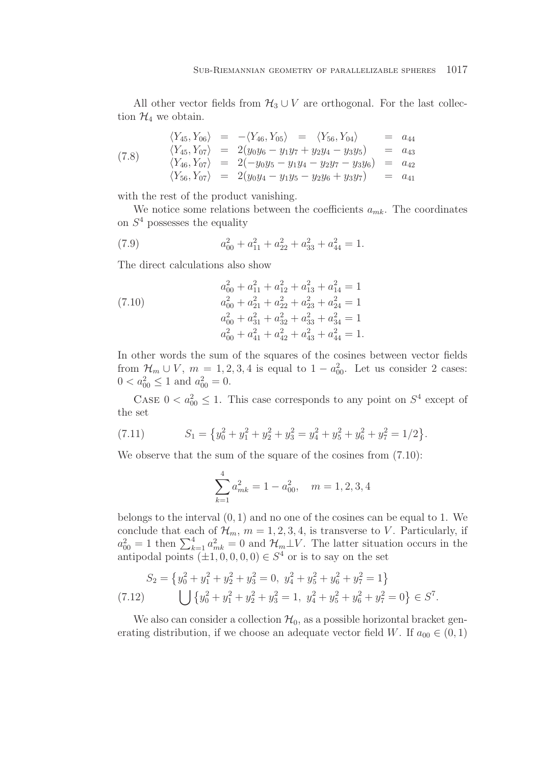All other vector fields from  $\mathcal{H}_3 \cup V$  are orthogonal. For the last collection  $\mathcal{H}_4$  we obtain.

(7.8) 
$$
\langle Y_{45}, Y_{06} \rangle = -\langle Y_{46}, Y_{05} \rangle = \langle Y_{56}, Y_{04} \rangle = a_{44}
$$

$$
\langle Y_{45}, Y_{07} \rangle = 2(y_{0}y_{6} - y_{1}y_{7} + y_{2}y_{4} - y_{3}y_{5}) = a_{43}
$$

$$
\langle Y_{46}, Y_{07} \rangle = 2(-y_{0}y_{5} - y_{1}y_{4} - y_{2}y_{7} - y_{3}y_{6}) = a_{42}
$$

$$
\langle Y_{56}, Y_{07} \rangle = 2(y_{0}y_{4} - y_{1}y_{5} - y_{2}y_{6} + y_{3}y_{7}) = a_{41}
$$

with the rest of the product vanishing.

We notice some relations between the coefficients  $a_{mk}$ . The coordinates on  $S<sup>4</sup>$  possesses the equality

(7.9) 
$$
a_{00}^2 + a_{11}^2 + a_{22}^2 + a_{33}^2 + a_{44}^2 = 1.
$$

The direct calculations also show

(7.10)  
\n
$$
a_{00}^2 + a_{11}^2 + a_{12}^2 + a_{13}^2 + a_{14}^2 = 1
$$
\n
$$
a_{00}^2 + a_{21}^2 + a_{22}^2 + a_{23}^2 + a_{24}^2 = 1
$$
\n
$$
a_{00}^2 + a_{31}^2 + a_{32}^2 + a_{33}^2 + a_{34}^2 = 1
$$
\n
$$
a_{00}^2 + a_{41}^2 + a_{42}^2 + a_{43}^2 + a_{44}^2 = 1.
$$

In other words the sum of the squares of the cosines between vector fields from  $\mathcal{H}_m \cup V$ ,  $m = 1, 2, 3, 4$  is equal to  $1 - a_{00}^2$ . Let us consider 2 cases:  $0 < a_{00}^2 \le 1$  and  $a_{00}^2 = 0$ .

CASE  $0 < a_{00}^2 \leq 1$ . This case corresponds to any point on  $S^4$  except of the set

(7.11) 
$$
S_1 = \{y_0^2 + y_1^2 + y_2^2 + y_3^2 = y_4^2 + y_5^2 + y_6^2 + y_7^2 = 1/2\}.
$$

We observe that the sum of the square of the cosines from  $(7.10)$ :

$$
\sum_{k=1}^{4} a_{mk}^2 = 1 - a_{00}^2, \quad m = 1, 2, 3, 4
$$

belongs to the interval  $(0, 1)$  and no one of the cosines can be equal to 1. We conclude that each of  $\mathcal{H}_m$ ,  $m = 1, 2, 3, 4$ , is transverse to V. Particularly, if  $a_{00}^2 = 1$  then  $\sum_{k=1}^4 a_{mk}^2 = 0$  and  $\mathcal{H}_m \perp V$ . The latter situation occurs in the antipodal points  $(\pm 1, 0, 0, 0, 0) \in S^4$  or is to say on the set

$$
S_2 = \left\{ y_0^2 + y_1^2 + y_2^2 + y_3^2 = 0, \ y_4^2 + y_5^2 + y_6^2 + y_7^2 = 1 \right\}
$$
  
(7.12) 
$$
\bigcup \left\{ y_0^2 + y_1^2 + y_2^2 + y_3^2 = 1, \ y_4^2 + y_5^2 + y_6^2 + y_7^2 = 0 \right\} \in S^7.
$$

We also can consider a collection  $\mathcal{H}_0$ , as a possible horizontal bracket generating distribution, if we choose an adequate vector field W. If  $a_{00} \in (0,1)$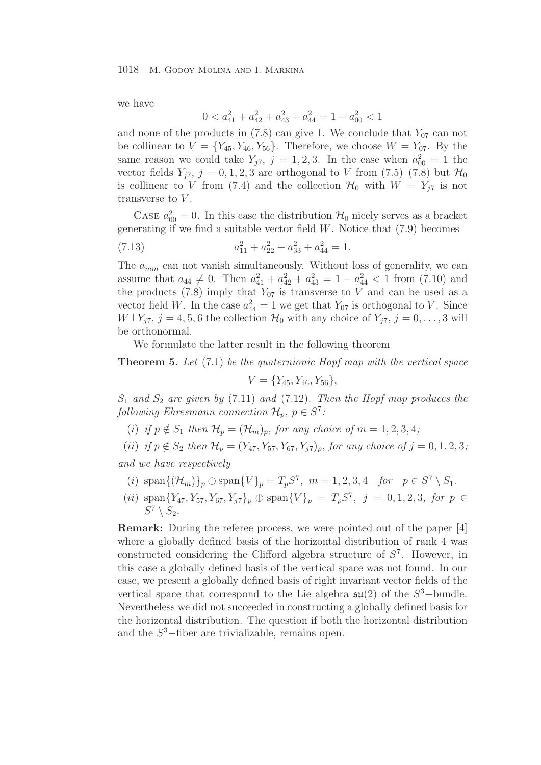we have

$$
0 < a_{41}^2 + a_{42}^2 + a_{43}^2 + a_{44}^2 = 1 - a_{00}^2 < 1
$$

and none of the products in  $(7.8)$  can give 1. We conclude that  $Y_{07}$  can not be collinear to  $V = \{Y_{45}, Y_{46}, Y_{56}\}.$  Therefore, we choose  $W = Y_{07}$ . By the same reason we could take  $Y_{j7}$ ,  $j = 1, 2, 3$ . In the case when  $a_{00}^2 = 1$  the vector fields  $Y_{j7}$ ,  $j = 0, 1, 2, 3$  are orthogonal to V from  $(7.5)$ – $(7.8)$  but  $\mathcal{H}_0$ is collinear to V from (7.4) and the collection  $\mathcal{H}_0$  with  $W = Y_{i7}$  is not transverse to V.

CASE  $a_{00}^2 = 0$ . In this case the distribution  $\mathcal{H}_0$  nicely serves as a bracket generating if we find a suitable vector field  $W$ . Notice that  $(7.9)$  becomes

(7.13) 
$$
a_{11}^2 + a_{22}^2 + a_{33}^2 + a_{44}^2 = 1.
$$

The  $a_{mm}$  can not vanish simultaneously. Without loss of generality, we can assume that  $a_{44} \neq 0$ . Then  $a_{41}^2 + a_{42}^2 + a_{43}^2 = 1 - a_{44}^2 < 1$  from (7.10) and the products (7.8) imply that  $Y_{07}$  is transverse to V and can be used as a vector field W. In the case  $a_{44}^2 = 1$  we get that  $Y_{07}$  is orthogonal to V. Since  $W \perp Y_{j7}, j = 4, 5, 6$  the collection  $\mathcal{H}_0$  with any choice of  $Y_{j7}, j = 0, \ldots, 3$  will be orthonormal.

We formulate the latter result in the following theorem

**Theorem 5.** *Let* (7.1) *be the quaternionic Hopf map with the vertical space*

$$
V = \{Y_{45}, Y_{46}, Y_{56}\},\
$$

 $S_1$  *and*  $S_2$  *are given by* (7.11) *and* (7.12)*. Then the Hopf map produces the following Ehresmann connection*  $\mathcal{H}_p$ *,*  $p \in S^7$ *:* 

(i) if  $p \notin S_1$  then  $\mathcal{H}_p = (\mathcal{H}_m)_p$ , for any choice of  $m = 1, 2, 3, 4$ ;

(*ii*) *if*  $p \notin S_2$  *then*  $\mathcal{H}_p = (Y_{47}, Y_{57}, Y_{67}, Y_{77})_p$ *, for any choice of*  $j = 0, 1, 2, 3$ *;* 

*and we have respectively*

- (i)  $\text{span}\{(\mathcal{H}_m)\}_p \oplus \text{span}\{V\}_p = T_p S^7$ ,  $m = 1, 2, 3, 4$  *for*  $p \in S^7 \setminus S_1$ .
- (ii) span ${Y_{47}, Y_{57}, Y_{67}, Y_{j7}}_p \oplus \text{span}{V}_p = T_p S^7$ ,  $j = 0, 1, 2, 3$ , for  $p \in$  $S^7 \setminus S_2$ .

**Remark:** During the referee process, we were pointed out of the paper [4] where a globally defined basis of the horizontal distribution of rank 4 was constructed considering the Clifford algebra structure of  $S<sup>7</sup>$ . However, in this case a globally defined basis of the vertical space was not found. In our case, we present a globally defined basis of right invariant vector fields of the vertical space that correspond to the Lie algebra  $\mathfrak{su}(2)$  of the  $S^3$ -bundle. Nevertheless we did not succeeded in constructing a globally defined basis for the horizontal distribution. The question if both the horizontal distribution and the  $S^3$ -fiber are trivializable, remains open.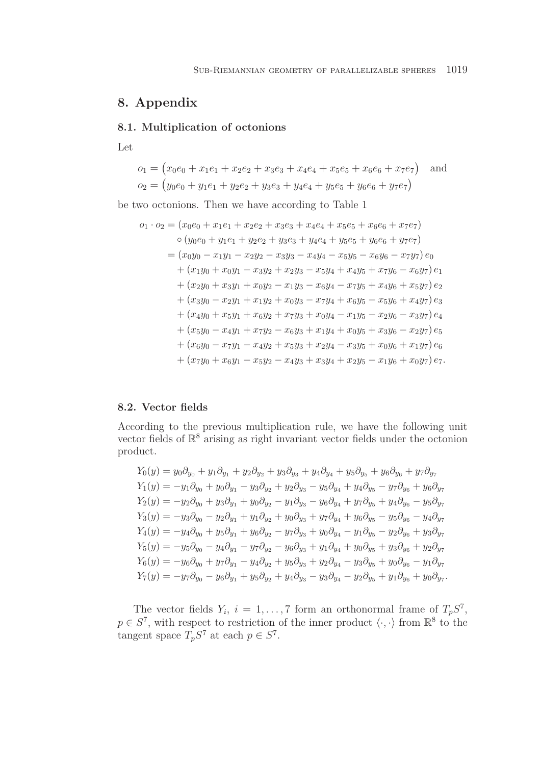# **8. Appendix**

### **8.1. Multiplication of octonions**

Let

$$
o_1 = (x_0e_0 + x_1e_1 + x_2e_2 + x_3e_3 + x_4e_4 + x_5e_5 + x_6e_6 + x_7e_7)
$$
 and  

$$
o_2 = (y_0e_0 + y_1e_1 + y_2e_2 + y_3e_3 + y_4e_4 + y_5e_5 + y_6e_6 + y_7e_7)
$$

be two octonions. Then we have according to Table 1

$$
o_1 \cdot o_2 = (x_0e_0 + x_1e_1 + x_2e_2 + x_3e_3 + x_4e_4 + x_5e_5 + x_6e_6 + x_7e_7)
$$
  
\n
$$
\circ (y_0e_0 + y_1e_1 + y_2e_2 + y_3e_3 + y_4e_4 + y_5e_5 + y_6e_6 + y_7e_7)
$$
  
\n
$$
= (x_0y_0 - x_1y_1 - x_2y_2 - x_3y_3 - x_4y_4 - x_5y_5 - x_6y_6 - x_7y_7) e_0
$$
  
\n
$$
+ (x_1y_0 + x_0y_1 - x_3y_2 + x_2y_3 - x_5y_4 + x_4y_5 + x_7y_6 - x_6y_7) e_1
$$
  
\n
$$
+ (x_2y_0 + x_3y_1 + x_0y_2 - x_1y_3 - x_6y_4 - x_7y_5 + x_4y_6 + x_5y_7) e_2
$$
  
\n
$$
+ (x_3y_0 - x_2y_1 + x_1y_2 + x_0y_3 - x_7y_4 + x_6y_5 - x_5y_6 + x_4y_7) e_3
$$
  
\n
$$
+ (x_4y_0 + x_5y_1 + x_6y_2 + x_7y_3 + x_0y_4 - x_1y_5 - x_2y_6 - x_3y_7) e_4
$$
  
\n
$$
+ (x_5y_0 - x_4y_1 + x_7y_2 - x_6y_3 + x_1y_4 + x_0y_5 + x_3y_6 - x_2y_7) e_5
$$
  
\n
$$
+ (x_6y_0 - x_7y_1 - x_4y_2 + x_5y_3 + x_2y_4 - x_3y_5 + x_0y_6 + x_1y_7) e_6
$$
  
\n
$$
+ (x_7y_0 + x_6y_1 - x_5y_2 - x_4y_3 + x_3y_4 + x_2y_5 - x_1y_6 + x_0y_7) e_7.
$$

### **8.2. Vector fields**

According to the previous multiplication rule, we have the following unit vector fields of  $\mathbb{R}^8$  arising as right invariant vector fields under the octonion product.

$$
Y_0(y) = y_0 \partial_{y_0} + y_1 \partial_{y_1} + y_2 \partial_{y_2} + y_3 \partial_{y_3} + y_4 \partial_{y_4} + y_5 \partial_{y_5} + y_6 \partial_{y_6} + y_7 \partial_{y_7}
$$
  
\n
$$
Y_1(y) = -y_1 \partial_{y_0} + y_0 \partial_{y_1} - y_3 \partial_{y_2} + y_2 \partial_{y_3} - y_5 \partial_{y_4} + y_4 \partial_{y_5} - y_7 \partial_{y_6} + y_6 \partial_{y_7}
$$
  
\n
$$
Y_2(y) = -y_2 \partial_{y_0} + y_3 \partial_{y_1} + y_0 \partial_{y_2} - y_1 \partial_{y_3} - y_6 \partial_{y_4} + y_7 \partial_{y_5} + y_4 \partial_{y_6} - y_5 \partial_{y_7}
$$
  
\n
$$
Y_3(y) = -y_3 \partial_{y_0} - y_2 \partial_{y_1} + y_1 \partial_{y_2} + y_0 \partial_{y_3} + y_7 \partial_{y_4} + y_6 \partial_{y_5} - y_5 \partial_{y_6} - y_4 \partial_{y_7}
$$
  
\n
$$
Y_4(y) = -y_4 \partial_{y_0} + y_5 \partial_{y_1} + y_6 \partial_{y_2} - y_7 \partial_{y_3} + y_0 \partial_{y_4} - y_1 \partial_{y_5} - y_2 \partial_{y_6} + y_3 \partial_{y_7}
$$
  
\n
$$
Y_5(y) = -y_5 \partial_{y_0} - y_4 \partial_{y_1} - y_7 \partial_{y_2} - y_6 \partial_{y_3} + y_1 \partial_{y_4} + y_0 \partial_{y_5} + y_3 \partial_{y_6} + y_2 \partial_{y_7}
$$
  
\n
$$
Y_6(y) = -y_6 \partial_{y_0} + y_7 \partial_{y_1} - y_4 \partial_{y_2} + y_5 \partial_{y_3} + y_2 \partial_{y_4} - y_3 \partial_{y_5} + y_0 \partial_{y_6} - y_1 \partial_{y_7}
$$
  
\n
$$
Y_7(y) = -y_7 \partial_{y_0} - y_6 \partial_{y
$$

The vector fields  $Y_i$ ,  $i = 1, ..., 7$  form an orthonormal frame of  $T_p S^7$ ,  $p \in S^7$ , with respect to restriction of the inner product  $\langle \cdot, \cdot \rangle$  from  $\mathbb{R}^8$  to the tangent space  $T_pS^7$  at each  $p \in S^7$ .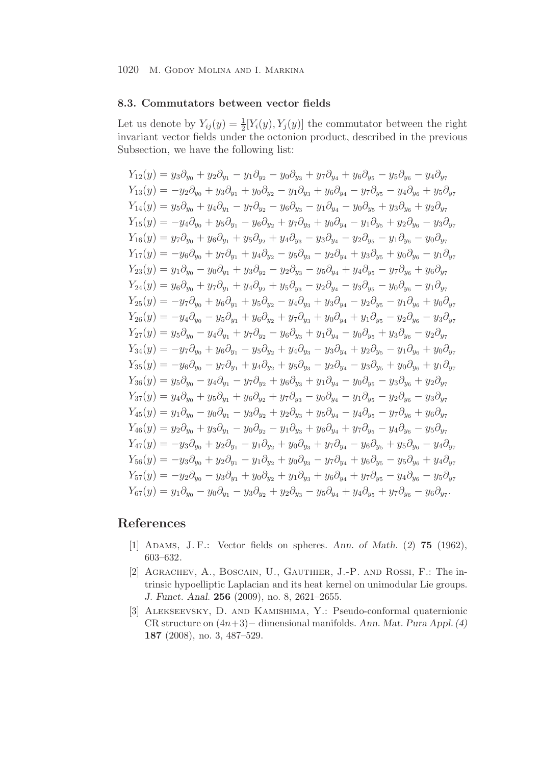### **8.3. Commutators between vector fields**

Let us denote by  $Y_{ij}(y) = \frac{1}{2}[Y_i(y), Y_j(y)]$  the commutator between the right invariant vector fields under the octonion product, described in the previous Subsection, we have the following list:

$$
Y_{12}(y) = y_3\partial_{y_0} + y_2\partial_{y_1} - y_1\partial_{y_2} - y_0\partial_{y_3} + y_7\partial_{y_4} + y_6\partial_{y_5} - y_5\partial_{y_6} - y_4\partial_{y_7}
$$
  
\n
$$
Y_{13}(y) = -y_2\partial_{y_0} + y_3\partial_{y_1} + y_0\partial_{y_2} - y_1\partial_{y_3} + y_6\partial_{y_4} - y_7\partial_{y_5} - y_4\partial_{y_6} + y_5\partial_{y_7}
$$
  
\n
$$
Y_{14}(y) = y_5\partial_{y_0} + y_4\partial_{y_1} - y_7\partial_{y_2} - y_6\partial_{y_3} - y_1\partial_{y_4} - y_0\partial_{y_5} + y_3\partial_{y_6} + y_2\partial_{y_7}
$$
  
\n
$$
Y_{15}(y) = -y_4\partial_{y_0} + y_5\partial_{y_1} - y_6\partial_{y_2} + y_7\partial_{y_3} + y_0\partial_{y_4} - y_1\partial_{y_5} + y_2\partial_{y_6} - y_3\partial_{y_7}
$$
  
\n
$$
Y_{16}(y) = y_7\partial_{y_0} + y_6\partial_{y_1} + y_5\partial_{y_2} + y_4\partial_{y_3} - y_3\partial_{y_4} - y_2\partial_{y_5} - y_1\partial_{y_6} - y_0\partial_{y_7}
$$
  
\n
$$
Y_{17}(y) = -y_6\partial_{y_0} + y_7\partial_{y_1} + y_4\partial_{y_2} - y_5\partial_{y_3} - y_3\partial_{y_4} + y_3\partial_{y_5} + y_0\partial_{y_6} - y_1\partial_{y_7}
$$
  
\n
$$
Y_{23}(y) = y_1\partial_{y_0} - y_0\partial_{y_1} + y_3\partial_{y_2} - y_2\partial_{y_3} - y_2\partial_{y_4} + y_3\partial_{y_5} - y_7\partial_{y_6} + y_6\partial_{y_7}
$$
  
\n
$$
Y_{25}(y) = -y_7\partial
$$

## **References**

- [1] Adams, J. F.: Vector fields on spheres. *Ann. of Math.* (*2*) **75** (1962), 603–632.
- [2] Agrachev, A., Boscain, U., Gauthier, J.-P. and Rossi, F.: The intrinsic hypoelliptic Laplacian and its heat kernel on unimodular Lie groups. *J. Funct. Anal.* **256** (2009), no. 8, 2621–2655.
- [3] Alekseevsky, D. and Kamishima, Y.: Pseudo-conformal quaternionic CR structure on (4n+3)− dimensional manifolds. *Ann. Mat. Pura Appl. (4)* **187** (2008), no. 3, 487–529.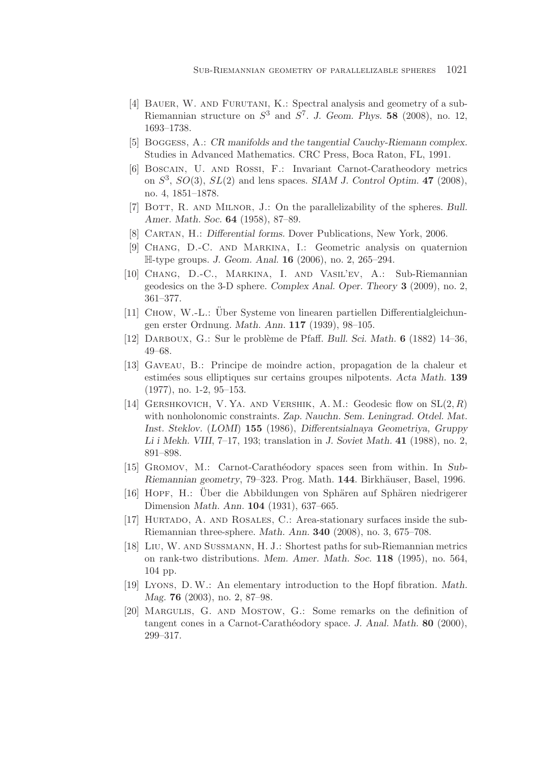- [4] BAUER, W. AND FURUTANI, K.: Spectral analysis and geometry of a sub-Riemannian structure on  $S^3$  and  $S^7$ . *J. Geom. Phys.* **58** (2008), no. 12, 1693–1738.
- [5] Boggess, A.: *CR manifolds and the tangential Cauchy-Riemann complex.* Studies in Advanced Mathematics. CRC Press, Boca Raton, FL, 1991.
- [6] Boscain, U. and Rossi, F.: Invariant Carnot-Caratheodory metrics on  $S^3$ ,  $SO(3)$ ,  $SL(2)$  and lens spaces. *SIAM J. Control Optim.* **47** (2008), no. 4, 1851–1878.
- [7] BOTT, R. AND MILNOR, J.: On the parallelizability of the spheres. Bull. *Amer. Math. Soc.* **64** (1958), 87–89.
- [8] Cartan, H.: *Differential forms.* Dover Publications, New York, 2006.
- [9] Chang, D.-C. and Markina, I.: Geometric analysis on quaternion H-type groups. *J. Geom. Anal.* **16** (2006), no. 2, 265–294.
- [10] Chang, D.-C., Markina, I. and Vasil'ev, A.: Sub-Riemannian geodesics on the 3-D sphere. *Complex Anal. Oper. Theory* **3** (2009), no. 2, 361–377.
- [11] CHOW, W.-L.: Über Systeme von linearen partiellen Differentialgleichungen erster Ordnung. *Math. Ann.* **117** (1939), 98–105.
- [12] Darboux, G.: Sur le probl`eme de Pfaff. *Bull. Sci. Math.* **6** (1882) 14–36, 49–68.
- [13] Gaveau, B.: Principe de moindre action, propagation de la chaleur et estim´ees sous elliptiques sur certains groupes nilpotents. *Acta Math.* **139** (1977), no. 1-2, 95–153.
- [14] GERSHKOVICH, V. YA. AND VERSHIK, A. M.: Geodesic flow on  $SL(2, R)$ with nonholonomic constraints. *Zap. Nauchn. Sem. Leningrad. Otdel. Mat. Inst. Steklov.* (*LOMI*) **155** (1986), *Differentsialnaya Geometriya, Gruppy Li i Mekh. VIII*, 7–17, 193; translation in *J. Soviet Math.* **41** (1988), no. 2, 891–898.
- [15] Gromov, M.: Carnot-Carath´eodory spaces seen from within. In *Sub-Riemannian geometry*, 79–323. Prog. Math. 144. Birkhäuser, Basel, 1996.
- [16] HOPF, H.: Uber die Abbildungen von Sphären auf Sphären niedrigerer Dimension *Math. Ann.* **104** (1931), 637–665.
- [17] Hurtado, A. and Rosales, C.: Area-stationary surfaces inside the sub-Riemannian three-sphere. *Math. Ann.* **340** (2008), no. 3, 675–708.
- [18] Liu, W. and Sussmann, H. J.: Shortest paths for sub-Riemannian metrics on rank-two distributions. *Mem. Amer. Math. Soc.* **118** (1995), no. 564, 104 pp.
- [19] Lyons, D. W.: An elementary introduction to the Hopf fibration. *Math. Mag.* **76** (2003), no. 2, 87–98.
- [20] Margulis, G. and Mostow, G.: Some remarks on the definition of tangent cones in a Carnot-Carathéodory space. *J. Anal. Math.* **80** (2000), 299–317.